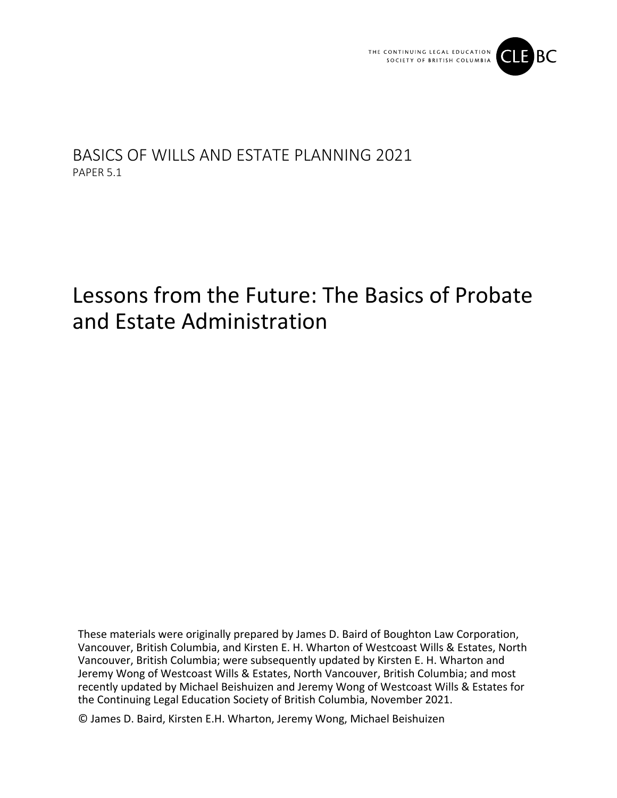

## BASICS OF WILLS AND ESTATE PLANNING 2021 PAPER 5.1

# Lessons from the Future: The Basics of Probate and Estate Administration

These materials were originally prepared by James D. Baird of Boughton Law Corporation, Vancouver, British Columbia, and Kirsten E. H. Wharton of Westcoast Wills & Estates, North Vancouver, British Columbia; were subsequently updated by Kirsten E. H. Wharton and Jeremy Wong of Westcoast Wills & Estates, North Vancouver, British Columbia; and most recently updated by Michael Beishuizen and Jeremy Wong of Westcoast Wills & Estates for the Continuing Legal Education Society of British Columbia, November 2021.

© James D. Baird, Kirsten E.H. Wharton, Jeremy Wong, Michael Beishuizen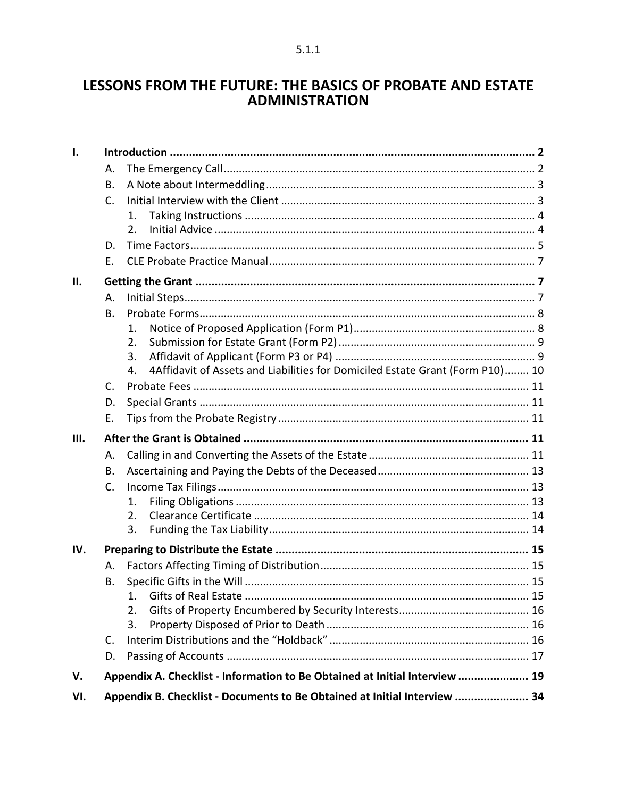### LESSONS FROM THE FUTURE: THE BASICS OF PROBATE AND ESTATE **ADMINISTRATION**

| Ι.   |    |                                                                                     |  |
|------|----|-------------------------------------------------------------------------------------|--|
|      | А. |                                                                                     |  |
|      | В. |                                                                                     |  |
|      | C. |                                                                                     |  |
|      |    | $\mathbf{1}$ .                                                                      |  |
|      |    | 2.                                                                                  |  |
|      | D. |                                                                                     |  |
|      | Е. |                                                                                     |  |
| П.   |    |                                                                                     |  |
|      | А. |                                                                                     |  |
|      | В. |                                                                                     |  |
|      |    | 1.                                                                                  |  |
|      |    | 2.                                                                                  |  |
|      |    | 3.                                                                                  |  |
|      |    | 4Affidavit of Assets and Liabilities for Domiciled Estate Grant (Form P10) 10<br>4. |  |
|      | C. |                                                                                     |  |
|      | D. |                                                                                     |  |
|      | Ε. |                                                                                     |  |
| III. |    |                                                                                     |  |
|      | А. |                                                                                     |  |
|      | В. |                                                                                     |  |
|      | C. |                                                                                     |  |
|      |    | 1.                                                                                  |  |
|      |    | 2.                                                                                  |  |
|      |    | 3.                                                                                  |  |
| IV.  |    |                                                                                     |  |
|      | А. |                                                                                     |  |
|      | Β. |                                                                                     |  |
|      |    |                                                                                     |  |
|      |    | 2.                                                                                  |  |
|      |    | 3.                                                                                  |  |
|      | C. |                                                                                     |  |
|      | D. |                                                                                     |  |
| V.   |    | Appendix A. Checklist - Information to Be Obtained at Initial Interview  19         |  |
| VI.  |    | Appendix B. Checklist - Documents to Be Obtained at Initial Interview  34           |  |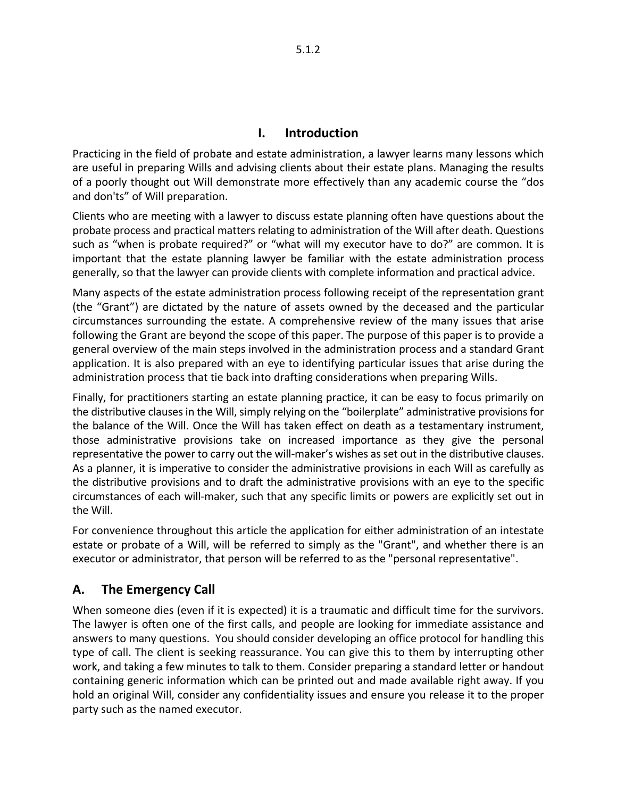#### **I. Introduction**

<span id="page-2-0"></span>Practicing in the field of probate and estate administration, a lawyer learns many lessons which are useful in preparing Wills and advising clients about their estate plans. Managing the results of a poorly thought out Will demonstrate more effectively than any academic course the "dos and don'ts" of Will preparation.

Clients who are meeting with a lawyer to discuss estate planning often have questions about the probate process and practical matters relating to administration of the Will after death. Questions such as "when is probate required?" or "what will my executor have to do?" are common. It is important that the estate planning lawyer be familiar with the estate administration process generally, so that the lawyer can provide clients with complete information and practical advice.

Many aspects of the estate administration process following receipt of the representation grant (the "Grant") are dictated by the nature of assets owned by the deceased and the particular circumstances surrounding the estate. A comprehensive review of the many issues that arise following the Grant are beyond the scope of this paper. The purpose of this paper is to provide a general overview of the main steps involved in the administration process and a standard Grant application. It is also prepared with an eye to identifying particular issues that arise during the administration process that tie back into drafting considerations when preparing Wills.

Finally, for practitioners starting an estate planning practice, it can be easy to focus primarily on the distributive clauses in the Will, simply relying on the "boilerplate" administrative provisions for the balance of the Will. Once the Will has taken effect on death as a testamentary instrument, those administrative provisions take on increased importance as they give the personal representative the power to carry out the will-maker's wishes as set out in the distributive clauses. As a planner, it is imperative to consider the administrative provisions in each Will as carefully as the distributive provisions and to draft the administrative provisions with an eye to the specific circumstances of each will-maker, such that any specific limits or powers are explicitly set out in the Will.

For convenience throughout this article the application for either administration of an intestate estate or probate of a Will, will be referred to simply as the "Grant", and whether there is an executor or administrator, that person will be referred to as the "personal representative".

### <span id="page-2-1"></span>**A. The Emergency Call**

When someone dies (even if it is expected) it is a traumatic and difficult time for the survivors. The lawyer is often one of the first calls, and people are looking for immediate assistance and answers to many questions. You should consider developing an office protocol for handling this type of call. The client is seeking reassurance. You can give this to them by interrupting other work, and taking a few minutes to talk to them. Consider preparing a standard letter or handout containing generic information which can be printed out and made available right away. If you hold an original Will, consider any confidentiality issues and ensure you release it to the proper party such as the named executor.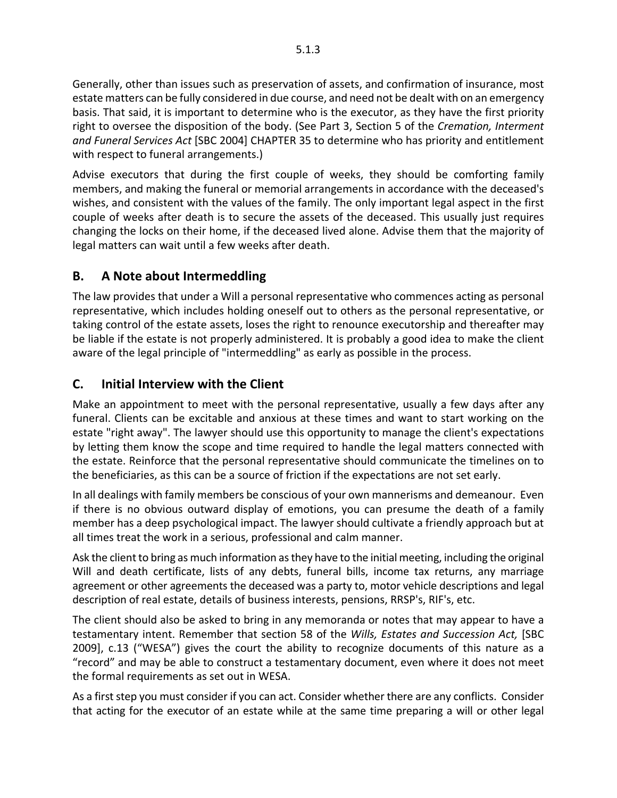Generally, other than issues such as preservation of assets, and confirmation of insurance, most estate matters can be fully considered in due course, and need not be dealt with on an emergency basis. That said, it is important to determine who is the executor, as they have the first priority right to oversee the disposition of the body. (See Part 3, Section 5 of the *Cremation, Interment and Funeral Services Act* [SBC 2004] CHAPTER 35 to determine who has priority and entitlement with respect to funeral arrangements.)

Advise executors that during the first couple of weeks, they should be comforting family members, and making the funeral or memorial arrangements in accordance with the deceased's wishes, and consistent with the values of the family. The only important legal aspect in the first couple of weeks after death is to secure the assets of the deceased. This usually just requires changing the locks on their home, if the deceased lived alone. Advise them that the majority of legal matters can wait until a few weeks after death.

### <span id="page-3-0"></span>**B. A Note about Intermeddling**

The law provides that under a Will a personal representative who commences acting as personal representative, which includes holding oneself out to others as the personal representative, or taking control of the estate assets, loses the right to renounce executorship and thereafter may be liable if the estate is not properly administered. It is probably a good idea to make the client aware of the legal principle of "intermeddling" as early as possible in the process.

### <span id="page-3-1"></span>**C. Initial Interview with the Client**

Make an appointment to meet with the personal representative, usually a few days after any funeral. Clients can be excitable and anxious at these times and want to start working on the estate "right away". The lawyer should use this opportunity to manage the client's expectations by letting them know the scope and time required to handle the legal matters connected with the estate. Reinforce that the personal representative should communicate the timelines on to the beneficiaries, as this can be a source of friction if the expectations are not set early.

In all dealings with family members be conscious of your own mannerisms and demeanour. Even if there is no obvious outward display of emotions, you can presume the death of a family member has a deep psychological impact. The lawyer should cultivate a friendly approach but at all times treat the work in a serious, professional and calm manner.

Ask the client to bring as much information as they have to the initial meeting, including the original Will and death certificate, lists of any debts, funeral bills, income tax returns, any marriage agreement or other agreements the deceased was a party to, motor vehicle descriptions and legal description of real estate, details of business interests, pensions, RRSP's, RIF's, etc.

The client should also be asked to bring in any memoranda or notes that may appear to have a testamentary intent. Remember that section 58 of the *Wills, Estates and Succession Act,* [SBC 2009], c.13 ("WESA") gives the court the ability to recognize documents of this nature as a "record" and may be able to construct a testamentary document, even where it does not meet the formal requirements as set out in WESA.

As a first step you must consider if you can act. Consider whether there are any conflicts. Consider that acting for the executor of an estate while at the same time preparing a will or other legal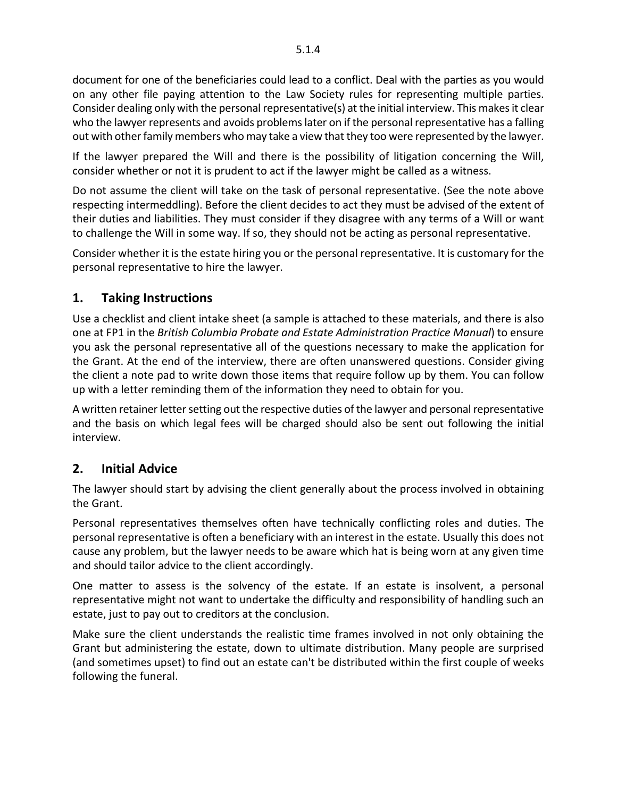document for one of the beneficiaries could lead to a conflict. Deal with the parties as you would on any other file paying attention to the Law Society rules for representing multiple parties. Consider dealing only with the personal representative(s) at the initial interview. This makes it clear who the lawyer represents and avoids problems later on if the personal representative has a falling out with other family members who may take a view that they too were represented by the lawyer.

If the lawyer prepared the Will and there is the possibility of litigation concerning the Will, consider whether or not it is prudent to act if the lawyer might be called as a witness.

Do not assume the client will take on the task of personal representative. (See the note above respecting intermeddling). Before the client decides to act they must be advised of the extent of their duties and liabilities. They must consider if they disagree with any terms of a Will or want to challenge the Will in some way. If so, they should not be acting as personal representative.

Consider whether it is the estate hiring you or the personal representative. It is customary for the personal representative to hire the lawyer.

### <span id="page-4-0"></span>**1. Taking Instructions**

Use a checklist and client intake sheet (a sample is attached to these materials, and there is also one at FP1 in the *British Columbia Probate and Estate Administration Practice Manual*) to ensure you ask the personal representative all of the questions necessary to make the application for the Grant. At the end of the interview, there are often unanswered questions. Consider giving the client a note pad to write down those items that require follow up by them. You can follow up with a letter reminding them of the information they need to obtain for you.

A written retainer letter setting out the respective duties of the lawyer and personal representative and the basis on which legal fees will be charged should also be sent out following the initial interview.

#### <span id="page-4-1"></span>**2. Initial Advice**

The lawyer should start by advising the client generally about the process involved in obtaining the Grant.

Personal representatives themselves often have technically conflicting roles and duties. The personal representative is often a beneficiary with an interest in the estate. Usually this does not cause any problem, but the lawyer needs to be aware which hat is being worn at any given time and should tailor advice to the client accordingly.

One matter to assess is the solvency of the estate. If an estate is insolvent, a personal representative might not want to undertake the difficulty and responsibility of handling such an estate, just to pay out to creditors at the conclusion.

<span id="page-4-2"></span>Make sure the client understands the realistic time frames involved in not only obtaining the Grant but administering the estate, down to ultimate distribution. Many people are surprised (and sometimes upset) to find out an estate can't be distributed within the first couple of weeks following the funeral.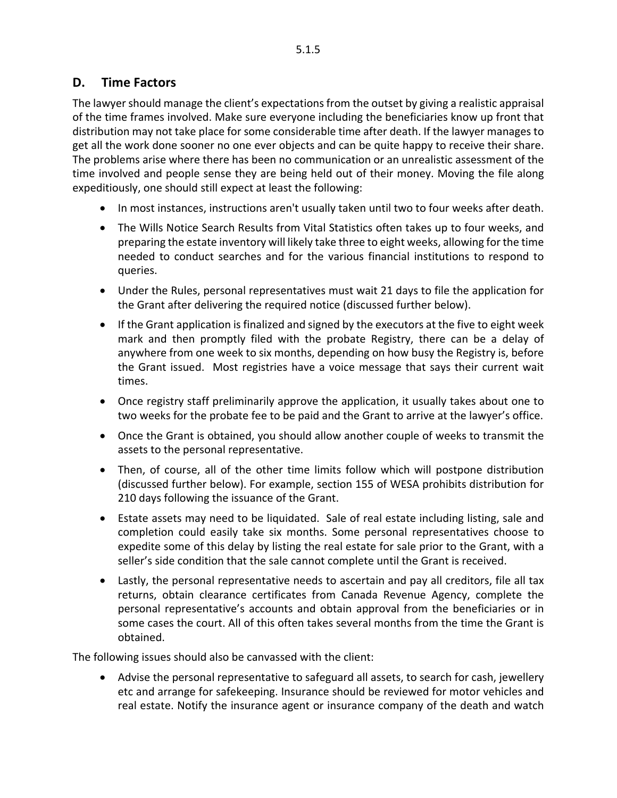#### **D. Time Factors**

The lawyer should manage the client's expectations from the outset by giving a realistic appraisal of the time frames involved. Make sure everyone including the beneficiaries know up front that distribution may not take place for some considerable time after death. If the lawyer manages to get all the work done sooner no one ever objects and can be quite happy to receive their share. The problems arise where there has been no communication or an unrealistic assessment of the time involved and people sense they are being held out of their money. Moving the file along expeditiously, one should still expect at least the following:

- In most instances, instructions aren't usually taken until two to four weeks after death.
- The Wills Notice Search Results from Vital Statistics often takes up to four weeks, and preparing the estate inventory will likely take three to eight weeks, allowing for the time needed to conduct searches and for the various financial institutions to respond to queries.
- Under the Rules, personal representatives must wait 21 days to file the application for the Grant after delivering the required notice (discussed further below).
- If the Grant application is finalized and signed by the executors at the five to eight week mark and then promptly filed with the probate Registry, there can be a delay of anywhere from one week to six months, depending on how busy the Registry is, before the Grant issued. Most registries have a voice message that says their current wait times.
- Once registry staff preliminarily approve the application, it usually takes about one to two weeks for the probate fee to be paid and the Grant to arrive at the lawyer's office.
- Once the Grant is obtained, you should allow another couple of weeks to transmit the assets to the personal representative.
- Then, of course, all of the other time limits follow which will postpone distribution (discussed further below). For example, section 155 of WESA prohibits distribution for 210 days following the issuance of the Grant.
- Estate assets may need to be liquidated. Sale of real estate including listing, sale and completion could easily take six months. Some personal representatives choose to expedite some of this delay by listing the real estate for sale prior to the Grant, with a seller's side condition that the sale cannot complete until the Grant is received.
- Lastly, the personal representative needs to ascertain and pay all creditors, file all tax returns, obtain clearance certificates from Canada Revenue Agency, complete the personal representative's accounts and obtain approval from the beneficiaries or in some cases the court. All of this often takes several months from the time the Grant is obtained.

The following issues should also be canvassed with the client:

• Advise the personal representative to safeguard all assets, to search for cash, jewellery etc and arrange for safekeeping. Insurance should be reviewed for motor vehicles and real estate. Notify the insurance agent or insurance company of the death and watch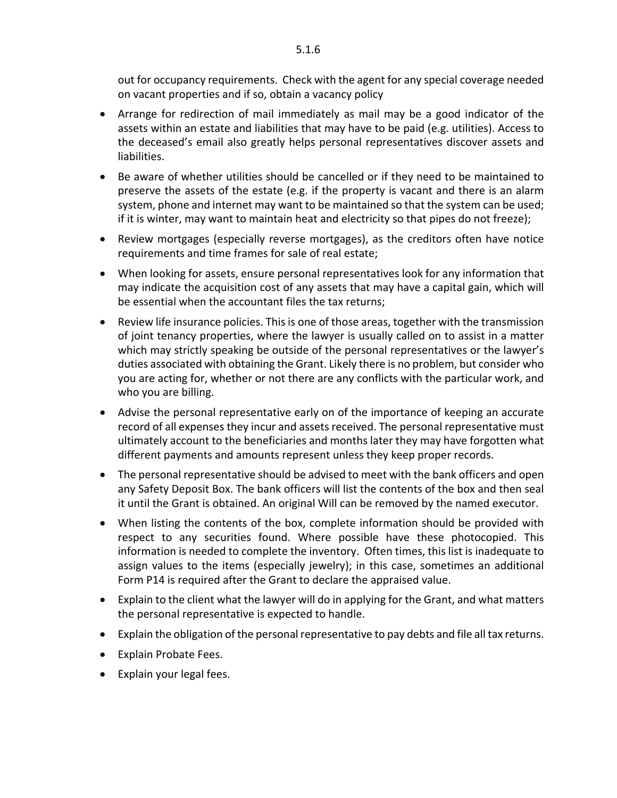out for occupancy requirements. Check with the agent for any special coverage needed on vacant properties and if so, obtain a vacancy policy

- Arrange for redirection of mail immediately as mail may be a good indicator of the assets within an estate and liabilities that may have to be paid (e.g. utilities). Access to the deceased's email also greatly helps personal representatives discover assets and liabilities.
- Be aware of whether utilities should be cancelled or if they need to be maintained to preserve the assets of the estate (e.g. if the property is vacant and there is an alarm system, phone and internet may want to be maintained so that the system can be used; if it is winter, may want to maintain heat and electricity so that pipes do not freeze);
- Review mortgages (especially reverse mortgages), as the creditors often have notice requirements and time frames for sale of real estate;
- When looking for assets, ensure personal representatives look for any information that may indicate the acquisition cost of any assets that may have a capital gain, which will be essential when the accountant files the tax returns;
- Review life insurance policies. This is one of those areas, together with the transmission of joint tenancy properties, where the lawyer is usually called on to assist in a matter which may strictly speaking be outside of the personal representatives or the lawyer's duties associated with obtaining the Grant. Likely there is no problem, but consider who you are acting for, whether or not there are any conflicts with the particular work, and who you are billing.
- Advise the personal representative early on of the importance of keeping an accurate record of all expenses they incur and assets received. The personal representative must ultimately account to the beneficiaries and months later they may have forgotten what different payments and amounts represent unless they keep proper records.
- The personal representative should be advised to meet with the bank officers and open any Safety Deposit Box. The bank officers will list the contents of the box and then seal it until the Grant is obtained. An original Will can be removed by the named executor.
- When listing the contents of the box, complete information should be provided with respect to any securities found. Where possible have these photocopied. This information is needed to complete the inventory. Often times, this list is inadequate to assign values to the items (especially jewelry); in this case, sometimes an additional Form P14 is required after the Grant to declare the appraised value.
- Explain to the client what the lawyer will do in applying for the Grant, and what matters the personal representative is expected to handle.
- Explain the obligation of the personal representative to pay debts and file all tax returns.
- Explain Probate Fees.
- <span id="page-6-0"></span>• Explain your legal fees.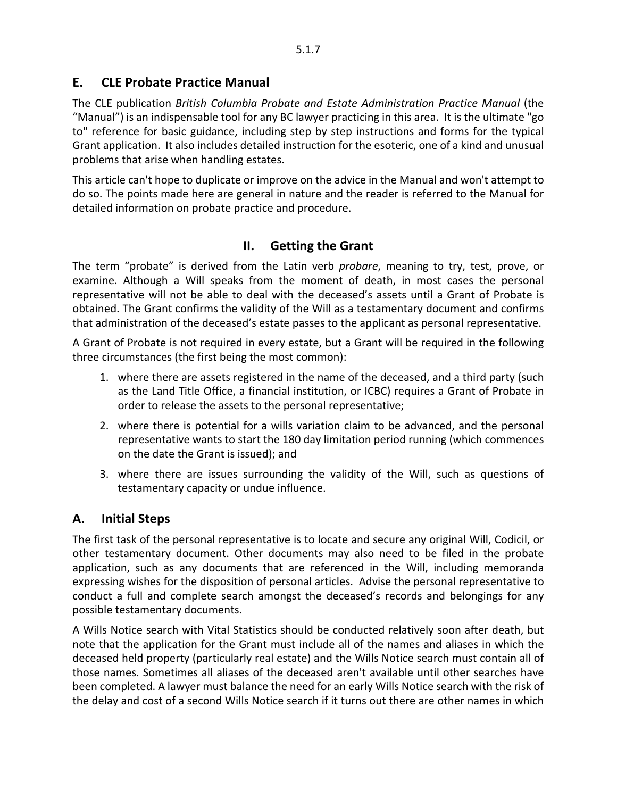#### **E. CLE Probate Practice Manual**

The CLE publication *British Columbia Probate and Estate Administration Practice Manual* (the "Manual") is an indispensable tool for any BC lawyer practicing in this area. It is the ultimate "go to" reference for basic guidance, including step by step instructions and forms for the typical Grant application. It also includes detailed instruction for the esoteric, one of a kind and unusual problems that arise when handling estates.

<span id="page-7-0"></span>This article can't hope to duplicate or improve on the advice in the Manual and won't attempt to do so. The points made here are general in nature and the reader is referred to the Manual for detailed information on probate practice and procedure.

#### **II. Getting the Grant**

The term "probate" is derived from the Latin verb *probare*, meaning to try, test, prove, or examine. Although a Will speaks from the moment of death, in most cases the personal representative will not be able to deal with the deceased's assets until a Grant of Probate is obtained. The Grant confirms the validity of the Will as a testamentary document and confirms that administration of the deceased's estate passes to the applicant as personal representative.

A Grant of Probate is not required in every estate, but a Grant will be required in the following three circumstances (the first being the most common):

- 1. where there are assets registered in the name of the deceased, and a third party (such as the Land Title Office, a financial institution, or ICBC) requires a Grant of Probate in order to release the assets to the personal representative;
- 2. where there is potential for a wills variation claim to be advanced, and the personal representative wants to start the 180 day limitation period running (which commences on the date the Grant is issued); and
- 3. where there are issues surrounding the validity of the Will, such as questions of testamentary capacity or undue influence.

#### <span id="page-7-1"></span>**A. Initial Steps**

The first task of the personal representative is to locate and secure any original Will, Codicil, or other testamentary document. Other documents may also need to be filed in the probate application, such as any documents that are referenced in the Will, including memoranda expressing wishes for the disposition of personal articles. Advise the personal representative to conduct a full and complete search amongst the deceased's records and belongings for any possible testamentary documents.

A Wills Notice search with Vital Statistics should be conducted relatively soon after death, but note that the application for the Grant must include all of the names and aliases in which the deceased held property (particularly real estate) and the Wills Notice search must contain all of those names. Sometimes all aliases of the deceased aren't available until other searches have been completed. A lawyer must balance the need for an early Wills Notice search with the risk of the delay and cost of a second Wills Notice search if it turns out there are other names in which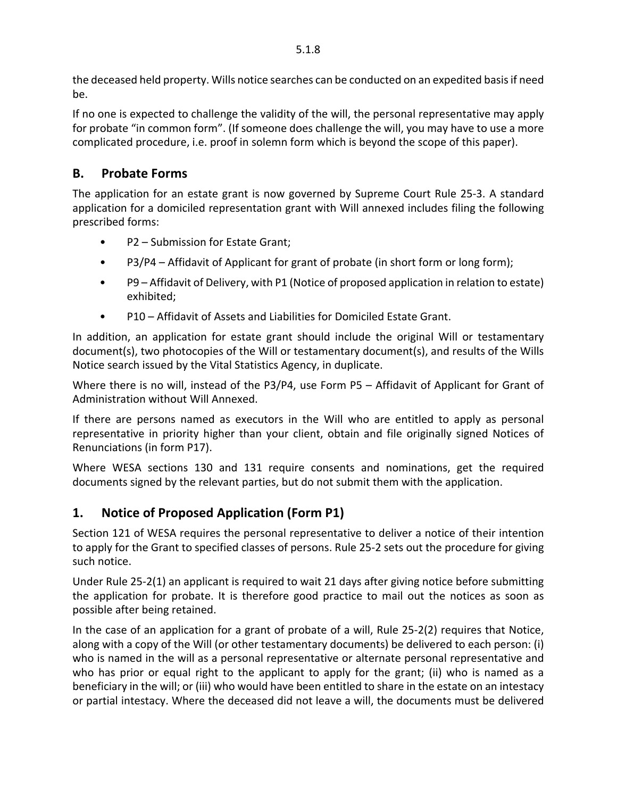the deceased held property. Wills notice searches can be conducted on an expedited basis if need be.

If no one is expected to challenge the validity of the will, the personal representative may apply for probate "in common form". (If someone does challenge the will, you may have to use a more complicated procedure, i.e. proof in solemn form which is beyond the scope of this paper).

### <span id="page-8-0"></span>**B. Probate Forms**

The application for an estate grant is now governed by Supreme Court Rule 25-3. A standard application for a domiciled representation grant with Will annexed includes filing the following prescribed forms:

- P2 Submission for Estate Grant;
- P3/P4 Affidavit of Applicant for grant of probate (in short form or long form);
- P9 Affidavit of Delivery, with P1 (Notice of proposed application in relation to estate) exhibited;
- P10 Affidavit of Assets and Liabilities for Domiciled Estate Grant.

In addition, an application for estate grant should include the original Will or testamentary document(s), two photocopies of the Will or testamentary document(s), and results of the Wills Notice search issued by the Vital Statistics Agency, in duplicate.

Where there is no will, instead of the P3/P4, use Form P5 – Affidavit of Applicant for Grant of Administration without Will Annexed.

If there are persons named as executors in the Will who are entitled to apply as personal representative in priority higher than your client, obtain and file originally signed Notices of Renunciations (in form P17).

Where WESA sections 130 and 131 require consents and nominations, get the required documents signed by the relevant parties, but do not submit them with the application.

### <span id="page-8-1"></span>**1. Notice of Proposed Application (Form P1)**

Section 121 of WESA requires the personal representative to deliver a notice of their intention to apply for the Grant to specified classes of persons. Rule 25-2 sets out the procedure for giving such notice.

Under Rule 25-2(1) an applicant is required to wait 21 days after giving notice before submitting the application for probate. It is therefore good practice to mail out the notices as soon as possible after being retained.

In the case of an application for a grant of probate of a will, Rule 25-2(2) requires that Notice, along with a copy of the Will (or other testamentary documents) be delivered to each person: (i) who is named in the will as a personal representative or alternate personal representative and who has prior or equal right to the applicant to apply for the grant; (ii) who is named as a beneficiary in the will; or (iii) who would have been entitled to share in the estate on an intestacy or partial intestacy. Where the deceased did not leave a will, the documents must be delivered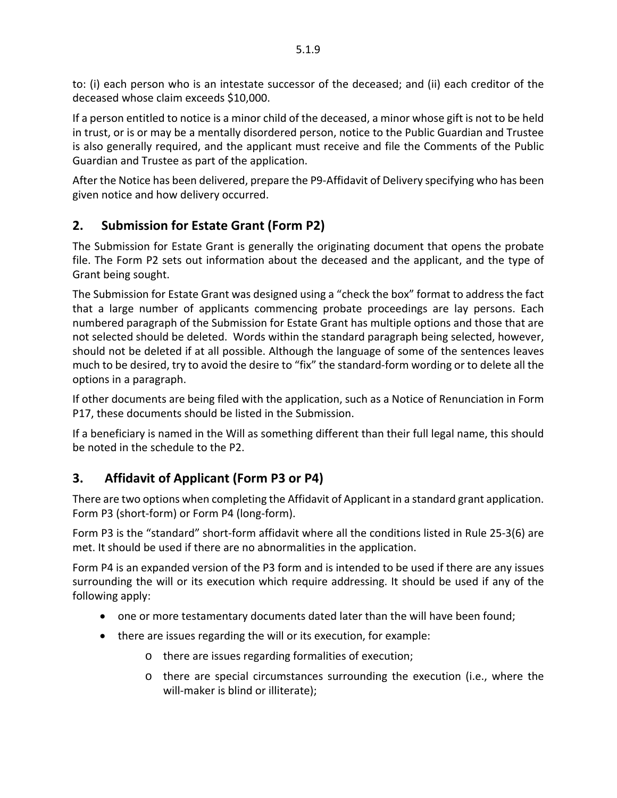to: (i) each person who is an intestate successor of the deceased; and (ii) each creditor of the deceased whose claim exceeds \$10,000.

5.1.9

If a person entitled to notice is a minor child of the deceased, a minor whose gift is not to be held in trust, or is or may be a mentally disordered person, notice to the Public Guardian and Trustee is also generally required, and the applicant must receive and file the Comments of the Public Guardian and Trustee as part of the application.

After the Notice has been delivered, prepare the P9-Affidavit of Delivery specifying who has been given notice and how delivery occurred.

### <span id="page-9-0"></span>**2. Submission for Estate Grant (Form P2)**

The Submission for Estate Grant is generally the originating document that opens the probate file. The Form P2 sets out information about the deceased and the applicant, and the type of Grant being sought.

The Submission for Estate Grant was designed using a "check the box" format to address the fact that a large number of applicants commencing probate proceedings are lay persons. Each numbered paragraph of the Submission for Estate Grant has multiple options and those that are not selected should be deleted. Words within the standard paragraph being selected, however, should not be deleted if at all possible. Although the language of some of the sentences leaves much to be desired, try to avoid the desire to "fix" the standard-form wording or to delete all the options in a paragraph.

If other documents are being filed with the application, such as a Notice of Renunciation in Form P17, these documents should be listed in the Submission.

If a beneficiary is named in the Will as something different than their full legal name, this should be noted in the schedule to the P2.

### <span id="page-9-1"></span>**3. Affidavit of Applicant (Form P3 or P4)**

There are two options when completing the Affidavit of Applicant in a standard grant application. Form P3 (short-form) or Form P4 (long-form).

Form P3 is the "standard" short-form affidavit where all the conditions listed in Rule 25-3(6) are met. It should be used if there are no abnormalities in the application.

Form P4 is an expanded version of the P3 form and is intended to be used if there are any issues surrounding the will or its execution which require addressing. It should be used if any of the following apply:

- one or more testamentary documents dated later than the will have been found;
- there are issues regarding the will or its execution, for example:
	- o there are issues regarding formalities of execution;
	- o there are special circumstances surrounding the execution (i.e., where the will-maker is blind or illiterate);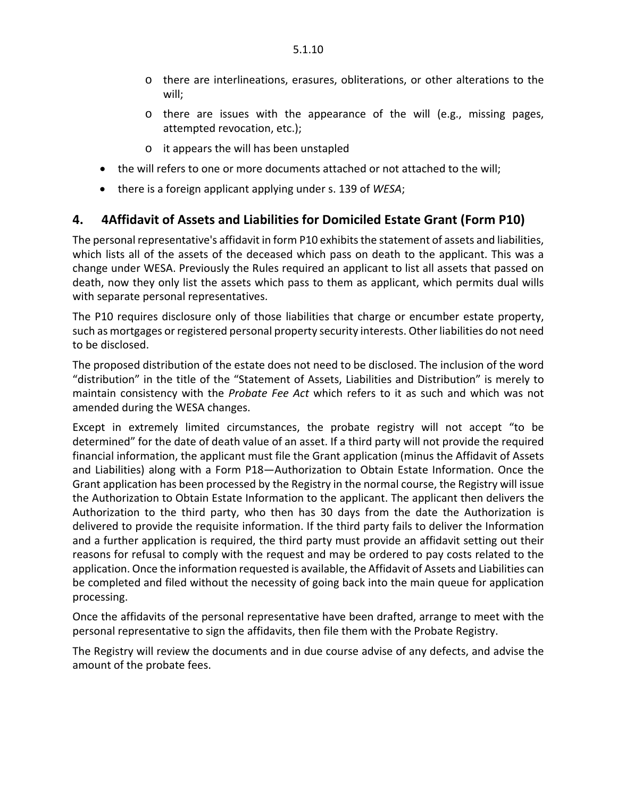- o there are interlineations, erasures, obliterations, or other alterations to the will;
- o there are issues with the appearance of the will (e.g., missing pages, attempted revocation, etc.);
- o it appears the will has been unstapled
- the will refers to one or more documents attached or not attached to the will;
- there is a foreign applicant applying under s. 139 of *WESA*;

#### <span id="page-10-0"></span>**4. 4Affidavit of Assets and Liabilities for Domiciled Estate Grant (Form P10)**

The personal representative's affidavit in form P10 exhibits the statement of assets and liabilities, which lists all of the assets of the deceased which pass on death to the applicant. This was a change under WESA. Previously the Rules required an applicant to list all assets that passed on death, now they only list the assets which pass to them as applicant, which permits dual wills with separate personal representatives.

The P10 requires disclosure only of those liabilities that charge or encumber estate property, such as mortgages or registered personal property security interests. Other liabilities do not need to be disclosed.

The proposed distribution of the estate does not need to be disclosed. The inclusion of the word "distribution" in the title of the "Statement of Assets, Liabilities and Distribution" is merely to maintain consistency with the *Probate Fee Act* which refers to it as such and which was not amended during the WESA changes.

Except in extremely limited circumstances, the probate registry will not accept "to be determined" for the date of death value of an asset. If a third party will not provide the required financial information, the applicant must file the Grant application (minus the Affidavit of Assets and Liabilities) along with a Form P18—Authorization to Obtain Estate Information. Once the Grant application has been processed by the Registry in the normal course, the Registry will issue the Authorization to Obtain Estate Information to the applicant. The applicant then delivers the Authorization to the third party, who then has 30 days from the date the Authorization is delivered to provide the requisite information. If the third party fails to deliver the Information and a further application is required, the third party must provide an affidavit setting out their reasons for refusal to comply with the request and may be ordered to pay costs related to the application. Once the information requested is available, the Affidavit of Assets and Liabilities can be completed and filed without the necessity of going back into the main queue for application processing.

Once the affidavits of the personal representative have been drafted, arrange to meet with the personal representative to sign the affidavits, then file them with the Probate Registry.

<span id="page-10-1"></span>The Registry will review the documents and in due course advise of any defects, and advise the amount of the probate fees.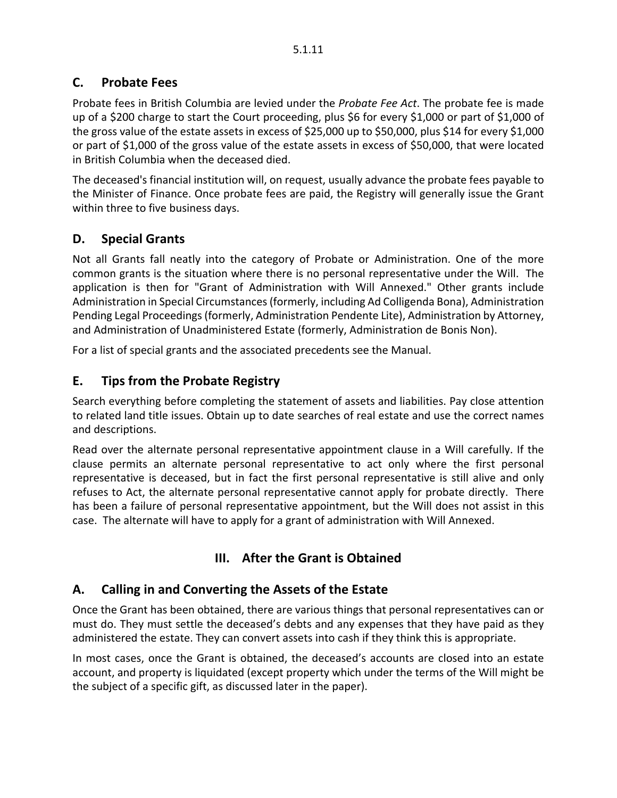### **C. Probate Fees**

Probate fees in British Columbia are levied under the *Probate Fee Act*. The probate fee is made up of a \$200 charge to start the Court proceeding, plus \$6 for every \$1,000 or part of \$1,000 of the gross value of the estate assets in excess of \$25,000 up to \$50,000, plus \$14 for every \$1,000 or part of \$1,000 of the gross value of the estate assets in excess of \$50,000, that were located in British Columbia when the deceased died.

The deceased's financial institution will, on request, usually advance the probate fees payable to the Minister of Finance. Once probate fees are paid, the Registry will generally issue the Grant within three to five business days.

### <span id="page-11-0"></span>**D. Special Grants**

Not all Grants fall neatly into the category of Probate or Administration. One of the more common grants is the situation where there is no personal representative under the Will. The application is then for "Grant of Administration with Will Annexed." Other grants include Administration in Special Circumstances (formerly, including Ad Colligenda Bona), Administration Pending Legal Proceedings (formerly, Administration Pendente Lite), Administration by Attorney, and Administration of Unadministered Estate (formerly, Administration de Bonis Non).

<span id="page-11-1"></span>For a list of special grants and the associated precedents see the Manual.

### **E. Tips from the Probate Registry**

Search everything before completing the statement of assets and liabilities. Pay close attention to related land title issues. Obtain up to date searches of real estate and use the correct names and descriptions.

Read over the alternate personal representative appointment clause in a Will carefully. If the clause permits an alternate personal representative to act only where the first personal representative is deceased, but in fact the first personal representative is still alive and only refuses to Act, the alternate personal representative cannot apply for probate directly. There has been a failure of personal representative appointment, but the Will does not assist in this case. The alternate will have to apply for a grant of administration with Will Annexed.

### **III. After the Grant is Obtained**

### <span id="page-11-3"></span><span id="page-11-2"></span>**A. Calling in and Converting the Assets of the Estate**

Once the Grant has been obtained, there are various things that personal representatives can or must do. They must settle the deceased's debts and any expenses that they have paid as they administered the estate. They can convert assets into cash if they think this is appropriate.

In most cases, once the Grant is obtained, the deceased's accounts are closed into an estate account, and property is liquidated (except property which under the terms of the Will might be the subject of a specific gift, as discussed later in the paper).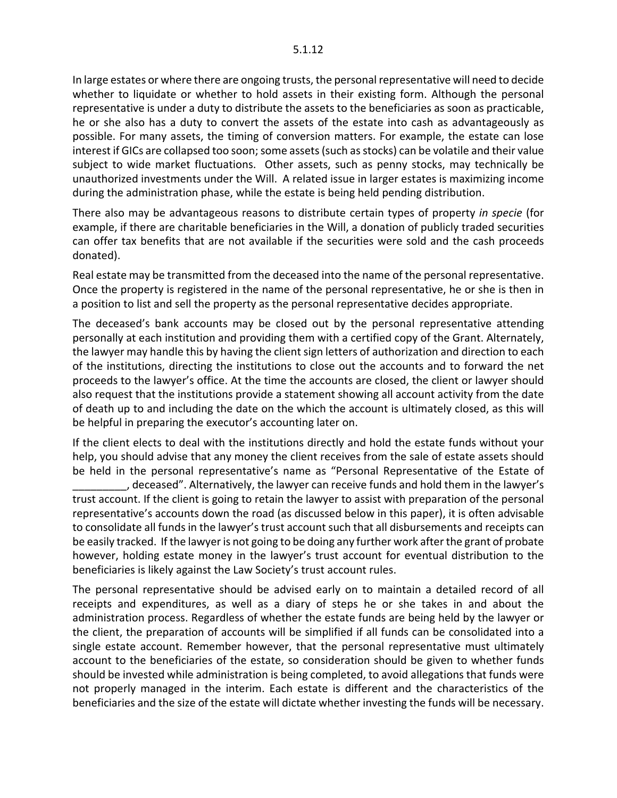In large estates or where there are ongoing trusts, the personal representative will need to decide whether to liquidate or whether to hold assets in their existing form. Although the personal representative is under a duty to distribute the assets to the beneficiaries as soon as practicable, he or she also has a duty to convert the assets of the estate into cash as advantageously as possible. For many assets, the timing of conversion matters. For example, the estate can lose interest if GICs are collapsed too soon; some assets (such as stocks) can be volatile and their value subject to wide market fluctuations. Other assets, such as penny stocks, may technically be unauthorized investments under the Will. A related issue in larger estates is maximizing income during the administration phase, while the estate is being held pending distribution.

There also may be advantageous reasons to distribute certain types of property *in specie* (for example, if there are charitable beneficiaries in the Will, a donation of publicly traded securities can offer tax benefits that are not available if the securities were sold and the cash proceeds donated).

Real estate may be transmitted from the deceased into the name of the personal representative. Once the property is registered in the name of the personal representative, he or she is then in a position to list and sell the property as the personal representative decides appropriate.

The deceased's bank accounts may be closed out by the personal representative attending personally at each institution and providing them with a certified copy of the Grant. Alternately, the lawyer may handle this by having the client sign letters of authorization and direction to each of the institutions, directing the institutions to close out the accounts and to forward the net proceeds to the lawyer's office. At the time the accounts are closed, the client or lawyer should also request that the institutions provide a statement showing all account activity from the date of death up to and including the date on the which the account is ultimately closed, as this will be helpful in preparing the executor's accounting later on.

If the client elects to deal with the institutions directly and hold the estate funds without your help, you should advise that any money the client receives from the sale of estate assets should be held in the personal representative's name as "Personal Representative of the Estate of \_\_\_\_\_\_\_\_\_, deceased". Alternatively, the lawyer can receive funds and hold them in the lawyer's trust account. If the client is going to retain the lawyer to assist with preparation of the personal representative's accounts down the road (as discussed below in this paper), it is often advisable to consolidate all funds in the lawyer's trust account such that all disbursements and receipts can be easily tracked. If the lawyer is not going to be doing any further work after the grant of probate however, holding estate money in the lawyer's trust account for eventual distribution to the beneficiaries is likely against the Law Society's trust account rules.

The personal representative should be advised early on to maintain a detailed record of all receipts and expenditures, as well as a diary of steps he or she takes in and about the administration process. Regardless of whether the estate funds are being held by the lawyer or the client, the preparation of accounts will be simplified if all funds can be consolidated into a single estate account. Remember however, that the personal representative must ultimately account to the beneficiaries of the estate, so consideration should be given to whether funds should be invested while administration is being completed, to avoid allegations that funds were not properly managed in the interim. Each estate is different and the characteristics of the beneficiaries and the size of the estate will dictate whether investing the funds will be necessary.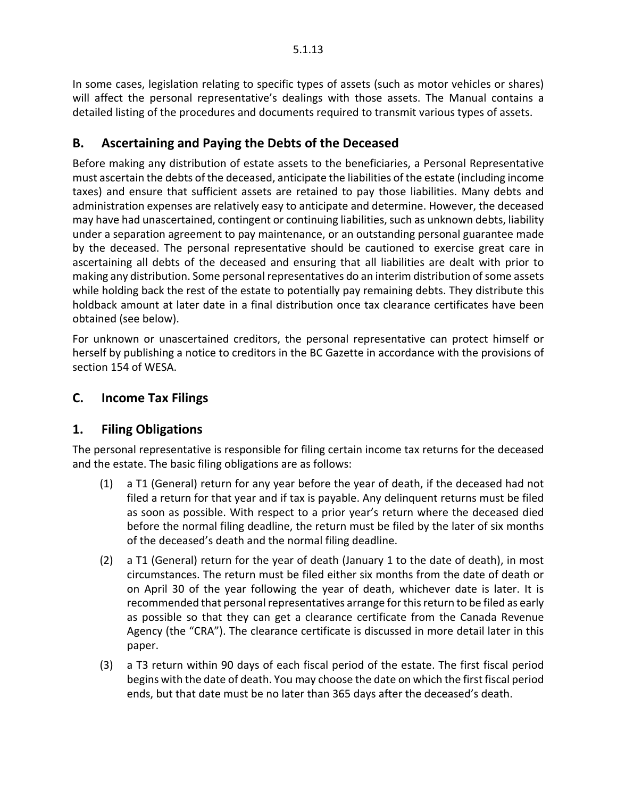In some cases, legislation relating to specific types of assets (such as motor vehicles or shares) will affect the personal representative's dealings with those assets. The Manual contains a detailed listing of the procedures and documents required to transmit various types of assets.

### <span id="page-13-0"></span>**B. Ascertaining and Paying the Debts of the Deceased**

Before making any distribution of estate assets to the beneficiaries, a Personal Representative must ascertain the debts of the deceased, anticipate the liabilities of the estate (including income taxes) and ensure that sufficient assets are retained to pay those liabilities. Many debts and administration expenses are relatively easy to anticipate and determine. However, the deceased may have had unascertained, contingent or continuing liabilities, such as unknown debts, liability under a separation agreement to pay maintenance, or an outstanding personal guarantee made by the deceased. The personal representative should be cautioned to exercise great care in ascertaining all debts of the deceased and ensuring that all liabilities are dealt with prior to making any distribution. Some personal representatives do an interim distribution of some assets while holding back the rest of the estate to potentially pay remaining debts. They distribute this holdback amount at later date in a final distribution once tax clearance certificates have been obtained (see below).

For unknown or unascertained creditors, the personal representative can protect himself or herself by publishing a notice to creditors in the BC Gazette in accordance with the provisions of section 154 of WESA.

### <span id="page-13-2"></span><span id="page-13-1"></span>**C. Income Tax Filings**

### **1. Filing Obligations**

The personal representative is responsible for filing certain income tax returns for the deceased and the estate. The basic filing obligations are as follows:

- (1) a T1 (General) return for any year before the year of death, if the deceased had not filed a return for that year and if tax is payable. Any delinquent returns must be filed as soon as possible. With respect to a prior year's return where the deceased died before the normal filing deadline, the return must be filed by the later of six months of the deceased's death and the normal filing deadline.
- (2) a T1 (General) return for the year of death (January 1 to the date of death), in most circumstances. The return must be filed either six months from the date of death or on April 30 of the year following the year of death, whichever date is later. It is recommended that personal representatives arrange for this return to be filed as early as possible so that they can get a clearance certificate from the Canada Revenue Agency (the "CRA"). The clearance certificate is discussed in more detail later in this paper.
- (3) a T3 return within 90 days of each fiscal period of the estate. The first fiscal period begins with the date of death. You may choose the date on which the first fiscal period ends, but that date must be no later than 365 days after the deceased's death.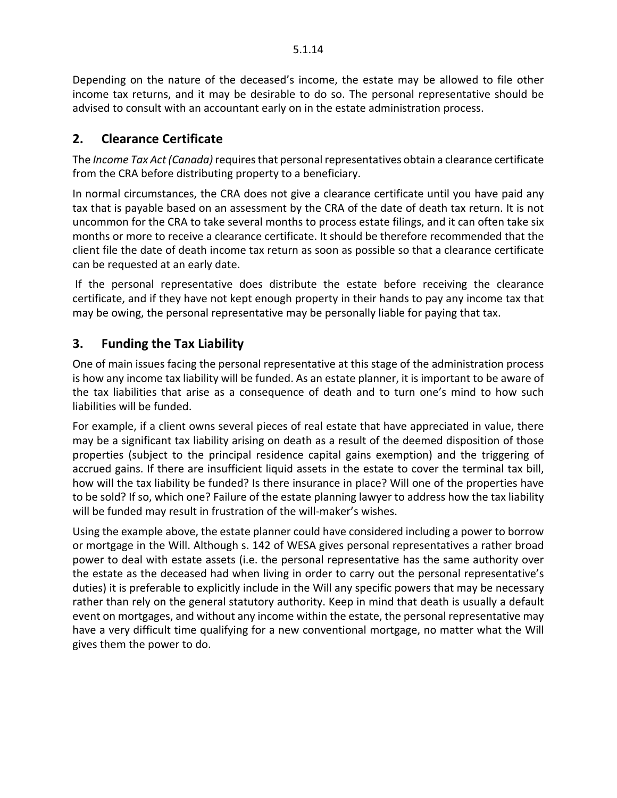Depending on the nature of the deceased's income, the estate may be allowed to file other income tax returns, and it may be desirable to do so. The personal representative should be advised to consult with an accountant early on in the estate administration process.

#### <span id="page-14-0"></span>**2. Clearance Certificate**

The *Income Tax Act (Canada)*requires that personal representatives obtain a clearance certificate from the CRA before distributing property to a beneficiary.

In normal circumstances, the CRA does not give a clearance certificate until you have paid any tax that is payable based on an assessment by the CRA of the date of death tax return. It is not uncommon for the CRA to take several months to process estate filings, and it can often take six months or more to receive a clearance certificate. It should be therefore recommended that the client file the date of death income tax return as soon as possible so that a clearance certificate can be requested at an early date.

If the personal representative does distribute the estate before receiving the clearance certificate, and if they have not kept enough property in their hands to pay any income tax that may be owing, the personal representative may be personally liable for paying that tax.

#### <span id="page-14-1"></span>**3. Funding the Tax Liability**

One of main issues facing the personal representative at this stage of the administration process is how any income tax liability will be funded. As an estate planner, it is important to be aware of the tax liabilities that arise as a consequence of death and to turn one's mind to how such liabilities will be funded.

For example, if a client owns several pieces of real estate that have appreciated in value, there may be a significant tax liability arising on death as a result of the deemed disposition of those properties (subject to the principal residence capital gains exemption) and the triggering of accrued gains. If there are insufficient liquid assets in the estate to cover the terminal tax bill, how will the tax liability be funded? Is there insurance in place? Will one of the properties have to be sold? If so, which one? Failure of the estate planning lawyer to address how the tax liability will be funded may result in frustration of the will-maker's wishes.

<span id="page-14-2"></span>Using the example above, the estate planner could have considered including a power to borrow or mortgage in the Will. Although s. 142 of WESA gives personal representatives a rather broad power to deal with estate assets (i.e. the personal representative has the same authority over the estate as the deceased had when living in order to carry out the personal representative's duties) it is preferable to explicitly include in the Will any specific powers that may be necessary rather than rely on the general statutory authority. Keep in mind that death is usually a default event on mortgages, and without any income within the estate, the personal representative may have a very difficult time qualifying for a new conventional mortgage, no matter what the Will gives them the power to do.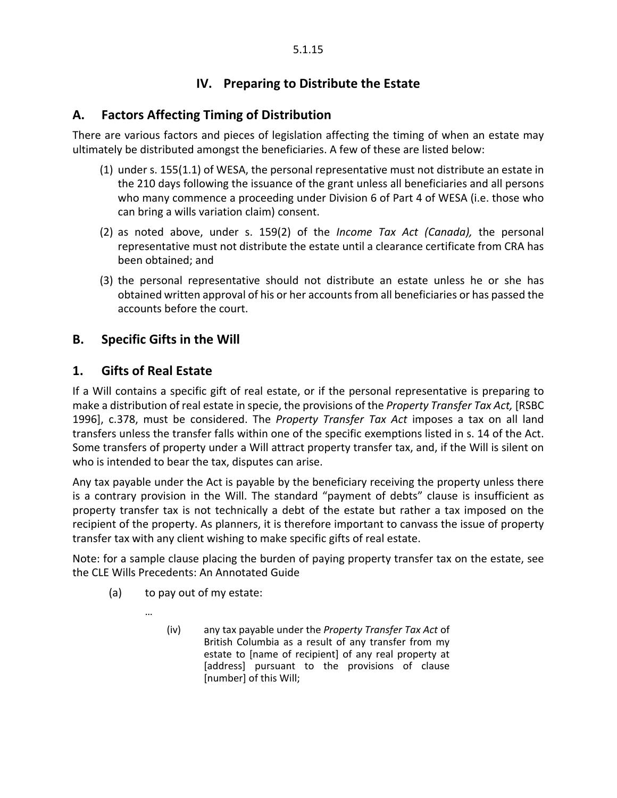### **IV. Preparing to Distribute the Estate**

#### <span id="page-15-0"></span>**A. Factors Affecting Timing of Distribution**

There are various factors and pieces of legislation affecting the timing of when an estate may ultimately be distributed amongst the beneficiaries. A few of these are listed below:

- (1) under s. 155(1.1) of WESA, the personal representative must not distribute an estate in the 210 days following the issuance of the grant unless all beneficiaries and all persons who many commence a proceeding under Division 6 of Part 4 of WESA (i.e. those who can bring a wills variation claim) consent.
- (2) as noted above, under s. 159(2) of the *Income Tax Act (Canada),* the personal representative must not distribute the estate until a clearance certificate from CRA has been obtained; and
- (3) the personal representative should not distribute an estate unless he or she has obtained written approval of his or her accounts from all beneficiaries or has passed the accounts before the court.

#### <span id="page-15-2"></span><span id="page-15-1"></span>**B. Specific Gifts in the Will**

#### **1. Gifts of Real Estate**

If a Will contains a specific gift of real estate, or if the personal representative is preparing to make a distribution of real estate in specie, the provisions of the *Property Transfer Tax Act,* [RSBC 1996], c.378, must be considered. The *Property Transfer Tax Act* imposes a tax on all land transfers unless the transfer falls within one of the specific exemptions listed in s. 14 of the Act. Some transfers of property under a Will attract property transfer tax, and, if the Will is silent on who is intended to bear the tax, disputes can arise.

Any tax payable under the Act is payable by the beneficiary receiving the property unless there is a contrary provision in the Will. The standard "payment of debts" clause is insufficient as property transfer tax is not technically a debt of the estate but rather a tax imposed on the recipient of the property. As planners, it is therefore important to canvass the issue of property transfer tax with any client wishing to make specific gifts of real estate.

Note: for a sample clause placing the burden of paying property transfer tax on the estate, see the CLE Wills Precedents: An Annotated Guide

<span id="page-15-3"></span>(a) to pay out of my estate:

…

(iv) any tax payable under the *Property Transfer Tax Act* of British Columbia as a result of any transfer from my estate to [name of recipient] of any real property at [address] pursuant to the provisions of clause [number] of this Will;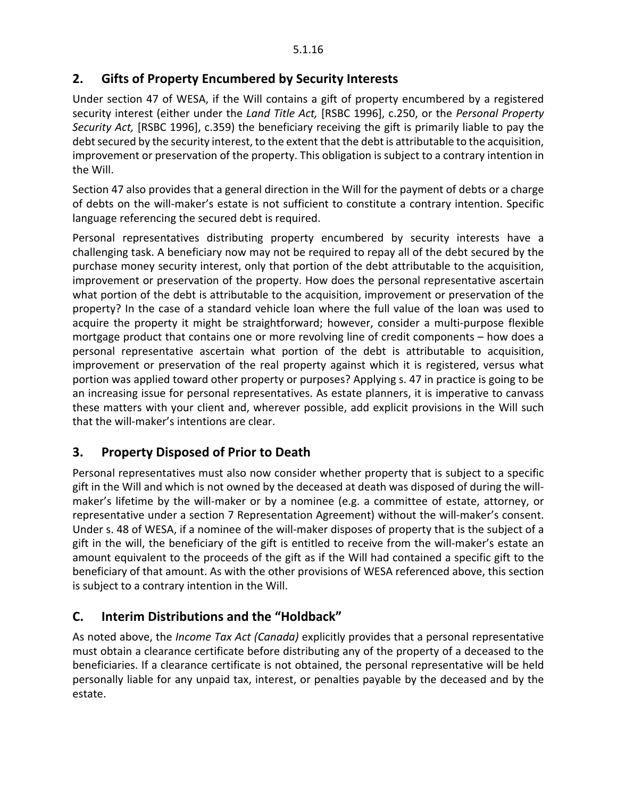#### **2. Gifts of Property Encumbered by Security Interests**

Under section 47 of WESA, if the Will contains a gift of property encumbered by a registered security interest (either under the *Land Title Act,* [RSBC 1996], c.250, or the *Personal Property Security Act,* [RSBC 1996], c.359) the beneficiary receiving the gift is primarily liable to pay the debt secured by the security interest, to the extent that the debt is attributable to the acquisition, improvement or preservation of the property. This obligation is subject to a contrary intention in the Will.

Section 47 also provides that a general direction in the Will for the payment of debts or a charge of debts on the will-maker's estate is not sufficient to constitute a contrary intention. Specific language referencing the secured debt is required.

Personal representatives distributing property encumbered by security interests have a challenging task. A beneficiary now may not be required to repay all of the debt secured by the purchase money security interest, only that portion of the debt attributable to the acquisition, improvement or preservation of the property. How does the personal representative ascertain what portion of the debt is attributable to the acquisition, improvement or preservation of the property? In the case of a standard vehicle loan where the full value of the loan was used to acquire the property it might be straightforward; however, consider a multi-purpose flexible mortgage product that contains one or more revolving line of credit components – how does a personal representative ascertain what portion of the debt is attributable to acquisition, improvement or preservation of the real property against which it is registered, versus what portion was applied toward other property or purposes? Applying s. 47 in practice is going to be an increasing issue for personal representatives. As estate planners, it is imperative to canvass these matters with your client and, wherever possible, add explicit provisions in the Will such that the will-maker's intentions are clear.

### <span id="page-16-0"></span>**3. Property Disposed of Prior to Death**

Personal representatives must also now consider whether property that is subject to a specific gift in the Will and which is not owned by the deceased at death was disposed of during the willmaker's lifetime by the will-maker or by a nominee (e.g. a committee of estate, attorney, or representative under a section 7 Representation Agreement) without the will-maker's consent. Under s. 48 of WESA, if a nominee of the will-maker disposes of property that is the subject of a gift in the will, the beneficiary of the gift is entitled to receive from the will-maker's estate an amount equivalent to the proceeds of the gift as if the Will had contained a specific gift to the beneficiary of that amount. As with the other provisions of WESA referenced above, this section is subject to a contrary intention in the Will.

### <span id="page-16-1"></span>**C. Interim Distributions and the "Holdback"**

As noted above, the *Income Tax Act (Canada)* explicitly provides that a personal representative must obtain a clearance certificate before distributing any of the property of a deceased to the beneficiaries. If a clearance certificate is not obtained, the personal representative will be held personally liable for any unpaid tax, interest, or penalties payable by the deceased and by the estate.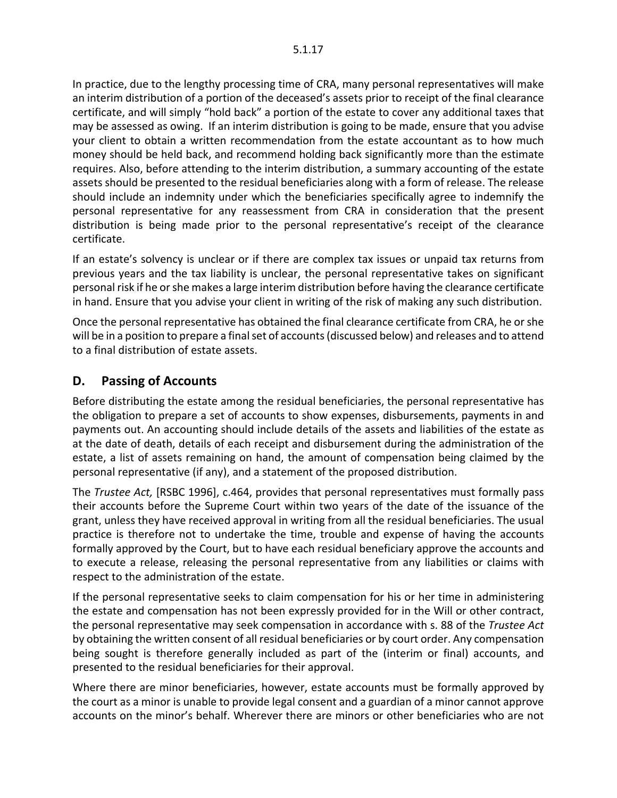In practice, due to the lengthy processing time of CRA, many personal representatives will make an interim distribution of a portion of the deceased's assets prior to receipt of the final clearance certificate, and will simply "hold back" a portion of the estate to cover any additional taxes that may be assessed as owing. If an interim distribution is going to be made, ensure that you advise your client to obtain a written recommendation from the estate accountant as to how much money should be held back, and recommend holding back significantly more than the estimate requires. Also, before attending to the interim distribution, a summary accounting of the estate assets should be presented to the residual beneficiaries along with a form of release. The release should include an indemnity under which the beneficiaries specifically agree to indemnify the personal representative for any reassessment from CRA in consideration that the present distribution is being made prior to the personal representative's receipt of the clearance certificate.

If an estate's solvency is unclear or if there are complex tax issues or unpaid tax returns from previous years and the tax liability is unclear, the personal representative takes on significant personal risk if he or she makes a large interim distribution before having the clearance certificate in hand. Ensure that you advise your client in writing of the risk of making any such distribution.

Once the personal representative has obtained the final clearance certificate from CRA, he or she will be in a position to prepare a final set of accounts (discussed below) and releases and to attend to a final distribution of estate assets.

#### <span id="page-17-0"></span>**D. Passing of Accounts**

Before distributing the estate among the residual beneficiaries, the personal representative has the obligation to prepare a set of accounts to show expenses, disbursements, payments in and payments out. An accounting should include details of the assets and liabilities of the estate as at the date of death, details of each receipt and disbursement during the administration of the estate, a list of assets remaining on hand, the amount of compensation being claimed by the personal representative (if any), and a statement of the proposed distribution.

The *Trustee Act,* [RSBC 1996], c.464, provides that personal representatives must formally pass their accounts before the Supreme Court within two years of the date of the issuance of the grant, unless they have received approval in writing from all the residual beneficiaries. The usual practice is therefore not to undertake the time, trouble and expense of having the accounts formally approved by the Court, but to have each residual beneficiary approve the accounts and to execute a release, releasing the personal representative from any liabilities or claims with respect to the administration of the estate.

If the personal representative seeks to claim compensation for his or her time in administering the estate and compensation has not been expressly provided for in the Will or other contract, the personal representative may seek compensation in accordance with s. 88 of the *Trustee Act* by obtaining the written consent of all residual beneficiaries or by court order. Any compensation being sought is therefore generally included as part of the (interim or final) accounts, and presented to the residual beneficiaries for their approval.

Where there are minor beneficiaries, however, estate accounts must be formally approved by the court as a minor is unable to provide legal consent and a guardian of a minor cannot approve accounts on the minor's behalf. Wherever there are minors or other beneficiaries who are not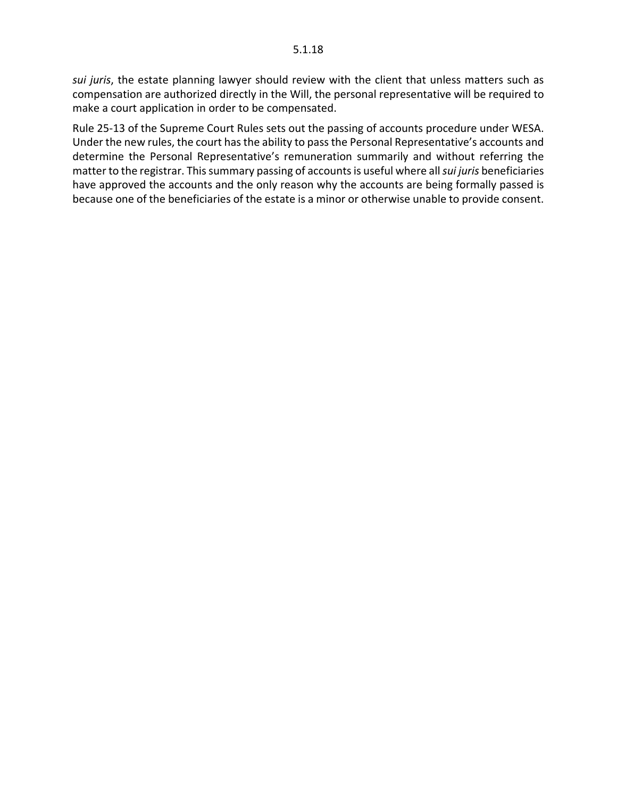*sui juris*, the estate planning lawyer should review with the client that unless matters such as compensation are authorized directly in the Will, the personal representative will be required to make a court application in order to be compensated.

Rule 25-13 of the Supreme Court Rules sets out the passing of accounts procedure under WESA. Under the new rules, the court has the ability to pass the Personal Representative's accounts and determine the Personal Representative's remuneration summarily and without referring the matter to the registrar. This summary passing of accounts is useful where all *sui juris* beneficiaries have approved the accounts and the only reason why the accounts are being formally passed is because one of the beneficiaries of the estate is a minor or otherwise unable to provide consent.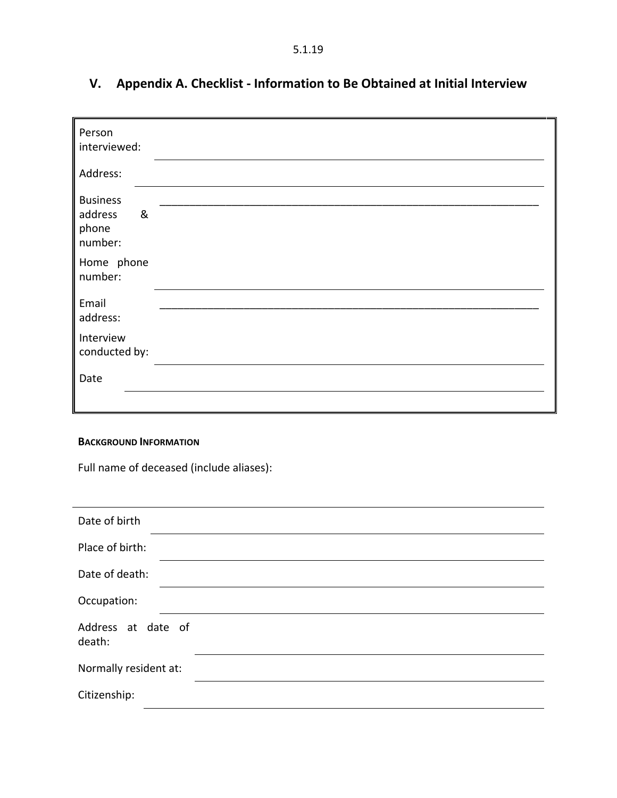5.1.19

| Person<br>interviewed:                              |  |
|-----------------------------------------------------|--|
| Address:                                            |  |
| <b>Business</b><br>&<br>address<br>phone<br>number: |  |
| Home phone<br>number:                               |  |
| Email<br>address:                                   |  |
| Interview<br>conducted by:                          |  |
| Date                                                |  |
|                                                     |  |

# <span id="page-19-0"></span>**V. Appendix A. Checklist - Information to Be Obtained at Initial Interview**

#### **BACKGROUND INFORMATION**

Full name of deceased (include aliases):

| Date of birth                |  |
|------------------------------|--|
| Place of birth:              |  |
| Date of death:               |  |
| Occupation:                  |  |
| Address at date of<br>death: |  |
| Normally resident at:        |  |
| Citizenship:                 |  |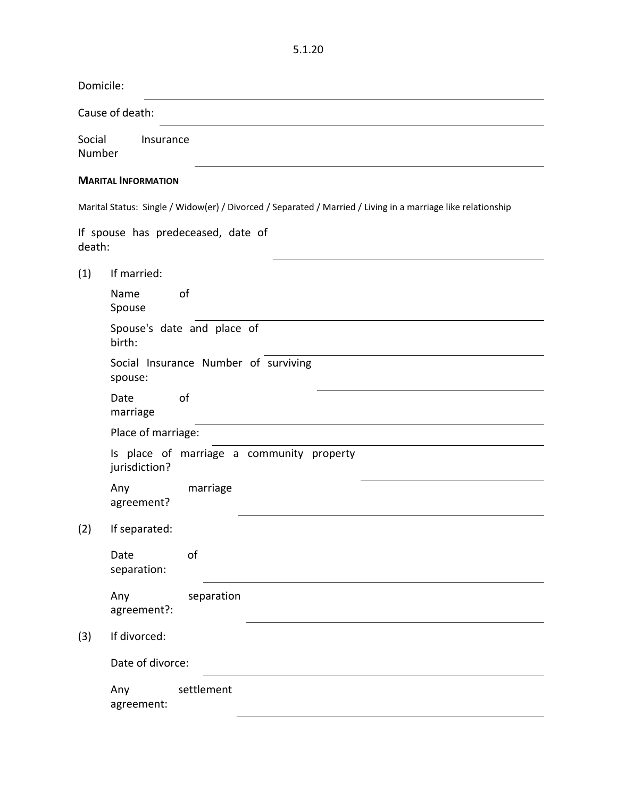| Domicile:        |                            |                                                                                                              |  |  |
|------------------|----------------------------|--------------------------------------------------------------------------------------------------------------|--|--|
|                  | Cause of death:            |                                                                                                              |  |  |
| Social<br>Number | Insurance                  |                                                                                                              |  |  |
|                  | <b>MARITAL INFORMATION</b> |                                                                                                              |  |  |
|                  |                            | Marital Status: Single / Widow(er) / Divorced / Separated / Married / Living in a marriage like relationship |  |  |
| death:           |                            | If spouse has predeceased, date of                                                                           |  |  |
| (1)              | If married:                |                                                                                                              |  |  |
|                  | Name<br>Spouse             | of                                                                                                           |  |  |
|                  | birth:                     | Spouse's date and place of                                                                                   |  |  |
|                  | spouse:                    | Social Insurance Number of surviving                                                                         |  |  |
|                  | Date<br>marriage           | of                                                                                                           |  |  |
|                  | Place of marriage:         |                                                                                                              |  |  |
|                  | jurisdiction?              | Is place of marriage a community property                                                                    |  |  |
|                  | Any<br>agreement?          | marriage                                                                                                     |  |  |
| (2)              | If separated:              |                                                                                                              |  |  |
|                  | Date<br>separation:        | of                                                                                                           |  |  |
|                  | Any<br>agreement?:         | separation                                                                                                   |  |  |
| (3)              | If divorced:               |                                                                                                              |  |  |
|                  | Date of divorce:           |                                                                                                              |  |  |
|                  | Any<br>agreement:          | settlement                                                                                                   |  |  |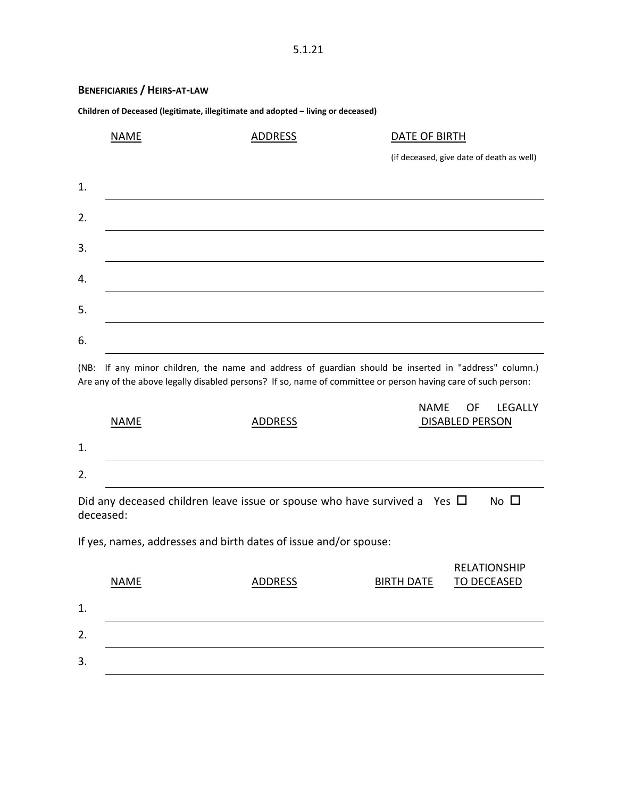#### **BENEFICIARIES / HEIRS-AT-LAW**

**Children of Deceased (legitimate, illegitimate and adopted – living or deceased)**

|                  | <b>NAME</b> | <b>ADDRESS</b> | DATE OF BIRTH                             |
|------------------|-------------|----------------|-------------------------------------------|
|                  |             |                | (if deceased, give date of death as well) |
| 1.               |             |                |                                           |
| $\overline{2}$ . |             |                |                                           |
| 3.               |             |                |                                           |
| 4.               |             |                |                                           |
| 5.               |             |                |                                           |
| 6.               |             |                |                                           |

(NB: If any minor children, the name and address of guardian should be inserted in "address" column.) Are any of the above legally disabled persons? If so, name of committee or person having care of such person:

|           |             |                                                                                | NAME OF                | LEGALLY      |
|-----------|-------------|--------------------------------------------------------------------------------|------------------------|--------------|
|           | <b>NAME</b> | ADDRESS                                                                        | <b>DISABLED PERSON</b> |              |
| 1.        |             |                                                                                |                        |              |
| 2.        |             |                                                                                |                        |              |
| deceased: |             | Did any deceased children leave issue or spouse who have survived a Yes $\Box$ |                        | No $\square$ |

If yes, names, addresses and birth dates of issue and/or spouse:

|    | <b>NAME</b> | ADDRESS | <b>BIRTH DATE</b> | <b>RELATIONSHIP</b><br>TO DECEASED |
|----|-------------|---------|-------------------|------------------------------------|
| 1. |             |         |                   |                                    |
| 2. |             |         |                   |                                    |
| 3. |             |         |                   |                                    |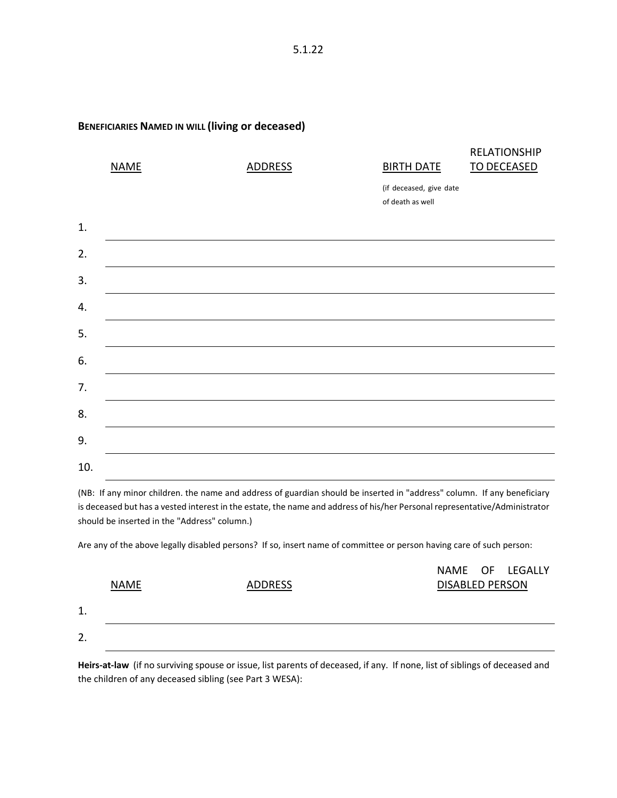#### **BENEFICIARIES NAMED IN WILL (living or deceased)**

|     | <b>NAME</b> | <b>ADDRESS</b> | <b>BIRTH DATE</b>                           | <b>RELATIONSHIP</b><br><b>TO DECEASED</b> |
|-----|-------------|----------------|---------------------------------------------|-------------------------------------------|
|     |             |                | (if deceased, give date<br>of death as well |                                           |
| 1.  |             |                |                                             |                                           |
| 2.  |             |                |                                             |                                           |
| 3.  |             |                |                                             |                                           |
| 4.  |             |                |                                             |                                           |
| 5.  |             |                |                                             |                                           |
| 6.  |             |                |                                             |                                           |
| 7.  |             |                |                                             |                                           |
| 8.  |             |                |                                             |                                           |
| 9.  |             |                |                                             |                                           |
| 10. |             |                |                                             |                                           |

(NB: If any minor children. the name and address of guardian should be inserted in "address" column. If any beneficiary is deceased but has a vested interest in the estate, the name and address of his/her Personal representative/Administrator should be inserted in the "Address" column.)

Are any of the above legally disabled persons? If so, insert name of committee or person having care of such person:

|    |             |         |                        | NAME OF LEGALLY |
|----|-------------|---------|------------------------|-----------------|
|    | <b>NAME</b> | ADDRESS | <b>DISABLED PERSON</b> |                 |
| 1. |             |         |                        |                 |
| 2. |             |         |                        |                 |

**Heirs-at-law** (if no surviving spouse or issue, list parents of deceased, if any. If none, list of siblings of deceased and the children of any deceased sibling (see Part 3 WESA):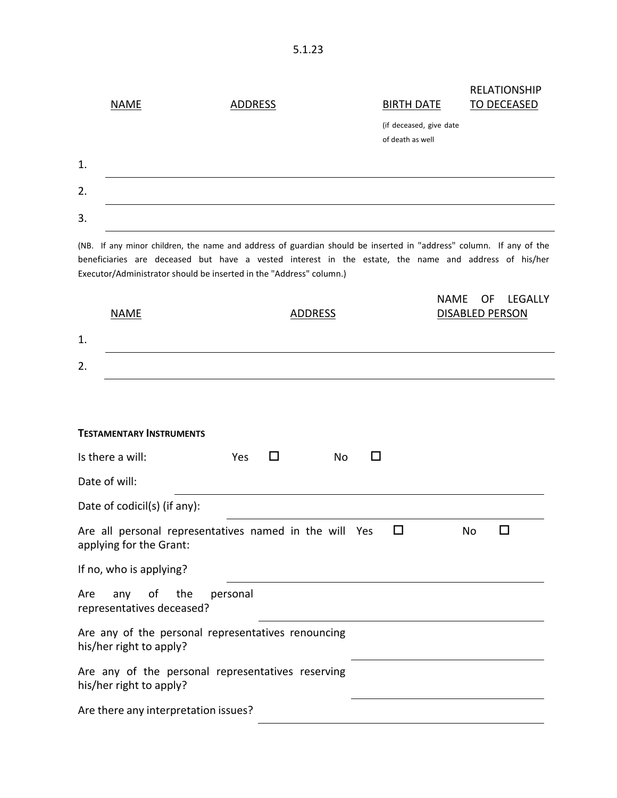|    | <b>NAME</b> | <b>ADDRESS</b> | <b>BIRTH DATE</b>                           | <b>RELATIONSHIP</b><br><b>TO DECEASED</b> |
|----|-------------|----------------|---------------------------------------------|-------------------------------------------|
|    |             |                | (if deceased, give date<br>of death as well |                                           |
| 1. |             |                |                                             |                                           |
| 2. |             |                |                                             |                                           |
| 3. |             |                |                                             |                                           |

(NB. If any minor children, the name and address of guardian should be inserted in "address" column. If any of the beneficiaries are deceased but have a vested interest in the estate, the name and address of his/her Executor/Administrator should be inserted in the "Address" column.)

| <b>NAME</b>                                                                       | <b>ADDRESS</b> | <b>NAME</b><br><b>LEGALLY</b><br>0F<br><b>DISABLED PERSON</b> |  |  |
|-----------------------------------------------------------------------------------|----------------|---------------------------------------------------------------|--|--|
| 1.                                                                                |                |                                                               |  |  |
| 2.                                                                                |                |                                                               |  |  |
|                                                                                   |                |                                                               |  |  |
| <b>TESTAMENTARY INSTRUMENTS</b>                                                   |                |                                                               |  |  |
| Is there a will:<br>П<br>Yes                                                      | <b>No</b><br>П |                                                               |  |  |
| Date of will:                                                                     |                |                                                               |  |  |
| Date of codicil(s) (if any):                                                      |                |                                                               |  |  |
| Are all personal representatives named in the will Yes<br>applying for the Grant: | □              | п<br><b>No</b>                                                |  |  |
| If no, who is applying?                                                           |                |                                                               |  |  |
| οf<br>the<br>personal<br>Are<br>any<br>representatives deceased?                  |                |                                                               |  |  |
| Are any of the personal representatives renouncing<br>his/her right to apply?     |                |                                                               |  |  |
| Are any of the personal representatives reserving<br>his/her right to apply?      |                |                                                               |  |  |
| Are there any interpretation issues?                                              |                |                                                               |  |  |

5.1.23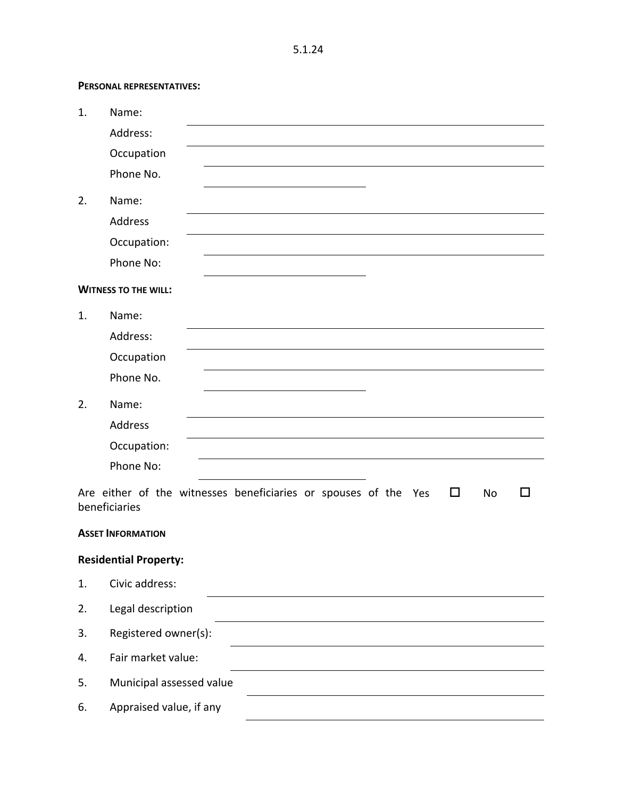**PERSONAL REPRESENTATIVES:**

| 1. | Name:                                                                                                             |
|----|-------------------------------------------------------------------------------------------------------------------|
|    | Address:                                                                                                          |
|    | Occupation                                                                                                        |
|    | Phone No.                                                                                                         |
| 2. | Name:                                                                                                             |
|    | Address                                                                                                           |
|    | Occupation:                                                                                                       |
|    | Phone No:                                                                                                         |
|    | <b>WITNESS TO THE WILL:</b>                                                                                       |
| 1. | Name:                                                                                                             |
|    | Address:                                                                                                          |
|    | Occupation                                                                                                        |
|    | Phone No.                                                                                                         |
| 2. | Name:                                                                                                             |
|    | Address                                                                                                           |
|    | Occupation:                                                                                                       |
|    | Phone No:                                                                                                         |
|    | Are either of the witnesses beneficiaries or spouses of the Yes<br>$\Box$<br>No<br>$\mathcal{L}$<br>beneficiaries |
|    | <b>ASSET INFORMATION</b>                                                                                          |
|    | <b>Residential Property:</b>                                                                                      |
| 1. | Civic address:                                                                                                    |
| 2. | Legal description                                                                                                 |
| 3. | Registered owner(s):                                                                                              |
| 4. | Fair market value:                                                                                                |
| 5. | Municipal assessed value                                                                                          |
| 6. | Appraised value, if any                                                                                           |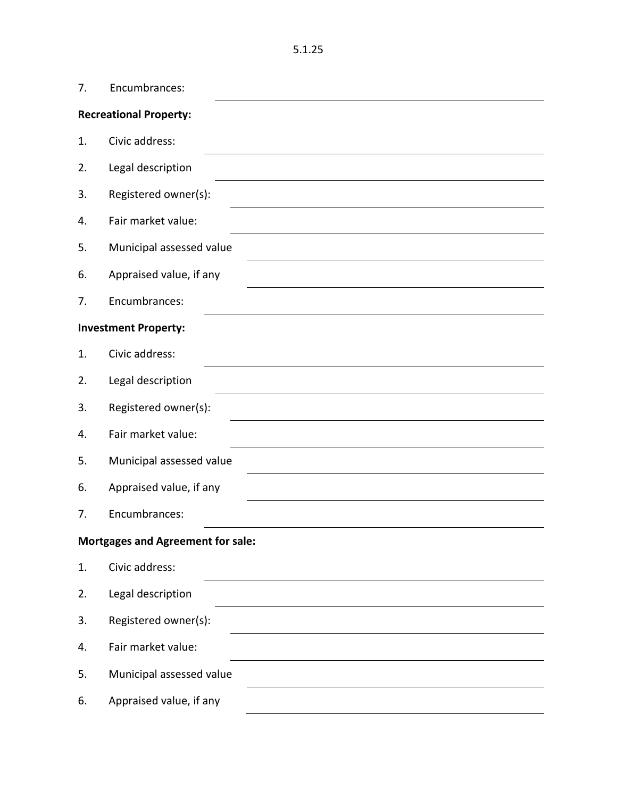| 7. | Encumbrances:                            |
|----|------------------------------------------|
|    | <b>Recreational Property:</b>            |
| 1. | Civic address:                           |
| 2. | Legal description                        |
| 3. | Registered owner(s):                     |
| 4. | Fair market value:                       |
| 5. | Municipal assessed value                 |
| 6. | Appraised value, if any                  |
| 7. | Encumbrances:                            |
|    | <b>Investment Property:</b>              |
| 1. | Civic address:                           |
| 2. | Legal description                        |
| 3. | Registered owner(s):                     |
| 4. | Fair market value:                       |
| 5. | Municipal assessed value                 |
| 6. | Appraised value, if any                  |
| 7. | Encumbrances:                            |
|    | <b>Mortgages and Agreement for sale:</b> |
| 1. | Civic address:                           |
| 2. | Legal description                        |
| 3. | Registered owner(s):                     |
| 4. | Fair market value:                       |
| 5. | Municipal assessed value                 |
| 6. | Appraised value, if any                  |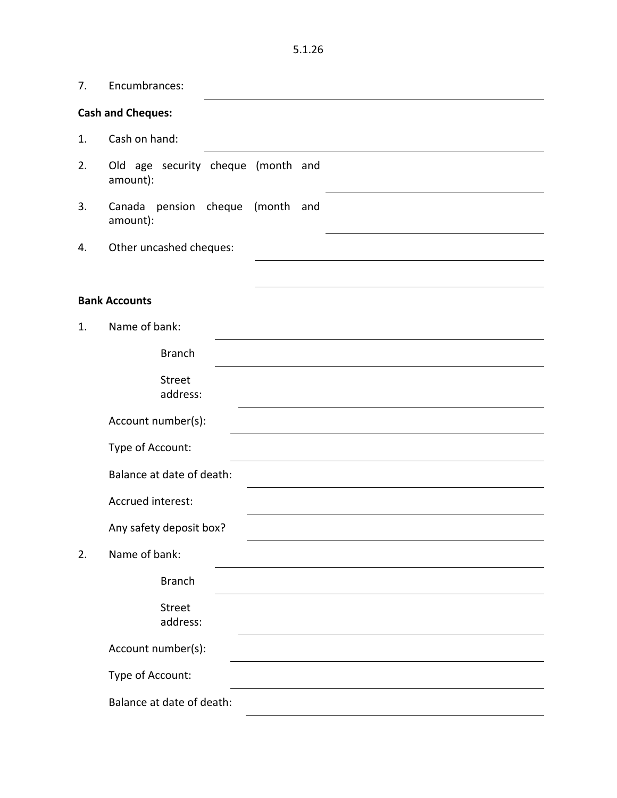7. Encumbrances:

#### **Cash and Cheques:**

- 1. Cash on hand:
- 2. Old age security cheque (month and amount):
- 3. Canada pension cheque (month and amount):
- 4. Other uncashed cheques:

#### **Bank Accounts**

| 1. | Name of bank:             |  |  |  |
|----|---------------------------|--|--|--|
|    | <b>Branch</b>             |  |  |  |
|    | Street<br>address:        |  |  |  |
|    | Account number(s):        |  |  |  |
|    | Type of Account:          |  |  |  |
|    | Balance at date of death: |  |  |  |
|    | Accrued interest:         |  |  |  |
|    | Any safety deposit box?   |  |  |  |
| 2. | Name of bank:             |  |  |  |
|    | <b>Branch</b>             |  |  |  |
|    | <b>Street</b><br>address: |  |  |  |
|    | Account number(s):        |  |  |  |
|    | Type of Account:          |  |  |  |
|    | Balance at date of death: |  |  |  |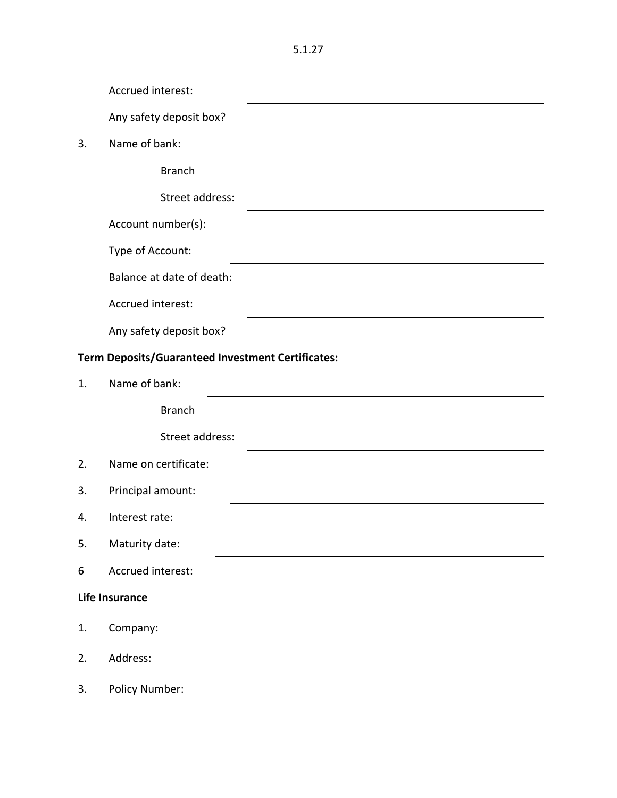|                                                          | Accrued interest:         |  |  |
|----------------------------------------------------------|---------------------------|--|--|
|                                                          | Any safety deposit box?   |  |  |
| 3.                                                       | Name of bank:             |  |  |
|                                                          | <b>Branch</b>             |  |  |
|                                                          | Street address:           |  |  |
|                                                          | Account number(s):        |  |  |
|                                                          | Type of Account:          |  |  |
|                                                          | Balance at date of death: |  |  |
|                                                          | Accrued interest:         |  |  |
|                                                          | Any safety deposit box?   |  |  |
| <b>Term Deposits/Guaranteed Investment Certificates:</b> |                           |  |  |
| 1.                                                       | Name of bank:             |  |  |
|                                                          | <b>Branch</b>             |  |  |
|                                                          | Street address:           |  |  |
| 2.                                                       | Name on certificate:      |  |  |
| 3.                                                       | Principal amount:         |  |  |
| 4.                                                       | Interest rate:            |  |  |
| 5.                                                       | Maturity date:            |  |  |
| 6                                                        | Accrued interest:         |  |  |
|                                                          | <b>Life Insurance</b>     |  |  |
| 1.                                                       | Company:                  |  |  |
| 2.                                                       | Address:                  |  |  |
| 3.                                                       | Policy Number:            |  |  |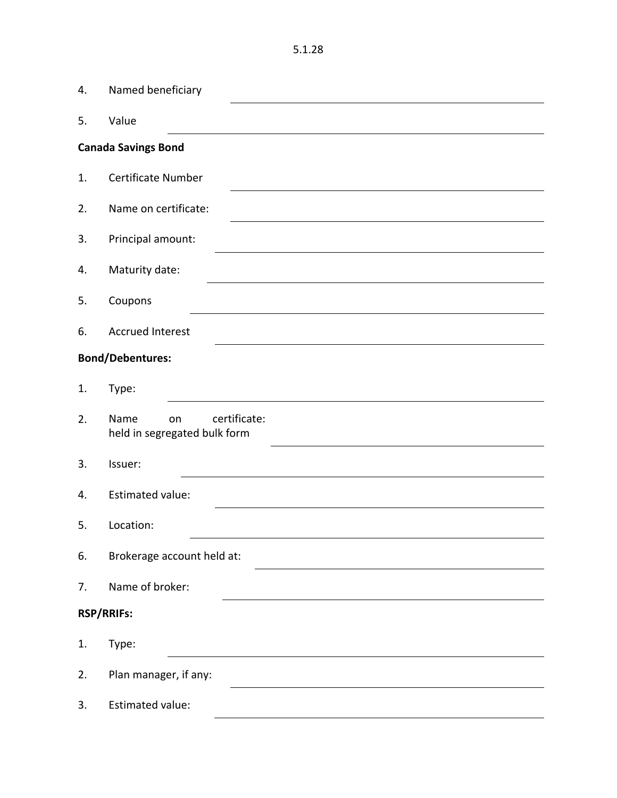| 4. | Named beneficiary                                          |  |  |  |
|----|------------------------------------------------------------|--|--|--|
| 5. | Value                                                      |  |  |  |
|    | <b>Canada Savings Bond</b>                                 |  |  |  |
| 1. | <b>Certificate Number</b>                                  |  |  |  |
| 2. | Name on certificate:                                       |  |  |  |
| 3. | Principal amount:                                          |  |  |  |
| 4. | Maturity date:                                             |  |  |  |
| 5. | Coupons                                                    |  |  |  |
| 6. | <b>Accrued Interest</b>                                    |  |  |  |
|    | <b>Bond/Debentures:</b>                                    |  |  |  |
| 1. | Type:                                                      |  |  |  |
| 2. | certificate:<br>Name<br>on<br>held in segregated bulk form |  |  |  |
| 3. | Issuer:                                                    |  |  |  |
| 4. | <b>Estimated value:</b>                                    |  |  |  |
| 5. | Location:                                                  |  |  |  |
| 6. | Brokerage account held at:                                 |  |  |  |
| 7. | Name of broker:                                            |  |  |  |
|    | <b>RSP/RRIFs:</b>                                          |  |  |  |
| 1. | Type:                                                      |  |  |  |
| 2. | Plan manager, if any:                                      |  |  |  |
| 3. | Estimated value:                                           |  |  |  |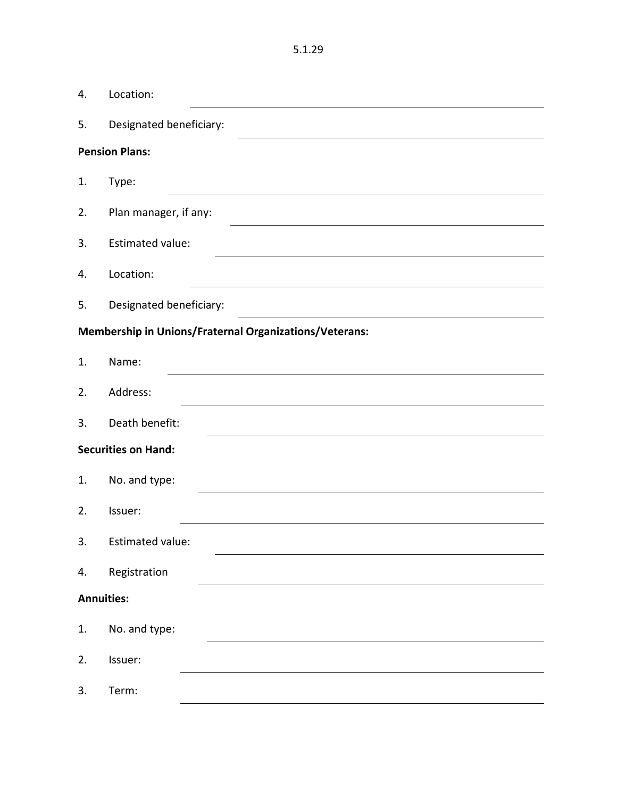| 4.                | Location:                                                     |
|-------------------|---------------------------------------------------------------|
| 5.                | Designated beneficiary:                                       |
|                   | <b>Pension Plans:</b>                                         |
| 1.                | Type:                                                         |
| 2.                | Plan manager, if any:                                         |
| 3.                | <b>Estimated value:</b>                                       |
| 4.                | Location:                                                     |
| 5.                | Designated beneficiary:                                       |
|                   | <b>Membership in Unions/Fraternal Organizations/Veterans:</b> |
| 1.                | Name:                                                         |
| 2.                | Address:                                                      |
| 3.                | Death benefit:                                                |
|                   | <b>Securities on Hand:</b>                                    |
| 1.                | No. and type:                                                 |
| 2.                | Issuer:                                                       |
| 3.                | Estimated value:                                              |
| 4.                | Registration                                                  |
| <b>Annuities:</b> |                                                               |
| 1.                | No. and type:                                                 |
| 2.                | Issuer:                                                       |
| 3.                | Term:                                                         |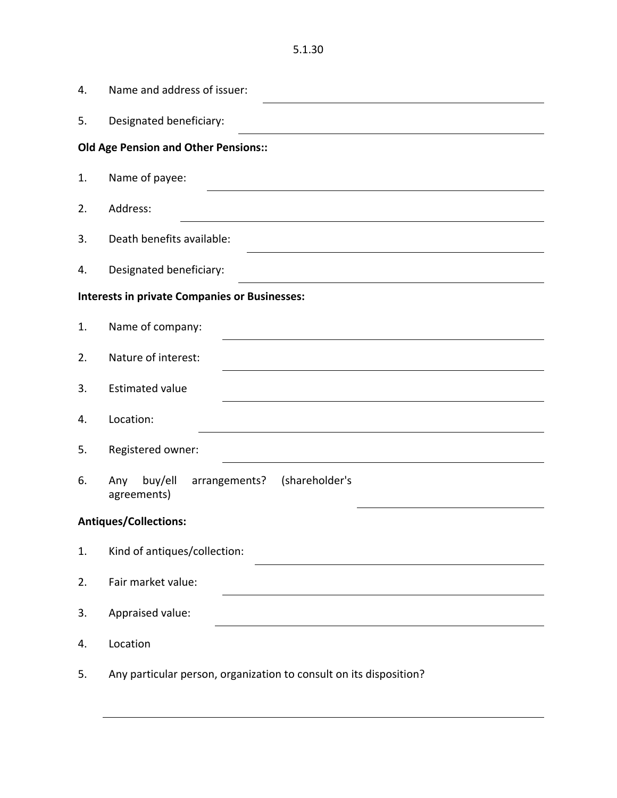| 4. | Name and address of issuer:                                        |  |  |  |  |
|----|--------------------------------------------------------------------|--|--|--|--|
| 5. | Designated beneficiary:                                            |  |  |  |  |
|    | <b>Old Age Pension and Other Pensions::</b>                        |  |  |  |  |
| 1. | Name of payee:                                                     |  |  |  |  |
| 2. | Address:                                                           |  |  |  |  |
| 3. | Death benefits available:                                          |  |  |  |  |
| 4. | Designated beneficiary:                                            |  |  |  |  |
|    | <b>Interests in private Companies or Businesses:</b>               |  |  |  |  |
| 1. | Name of company:                                                   |  |  |  |  |
| 2. | Nature of interest:                                                |  |  |  |  |
| 3. | <b>Estimated value</b>                                             |  |  |  |  |
| 4. | Location:                                                          |  |  |  |  |
| 5. | Registered owner:                                                  |  |  |  |  |
| 6. | buy/ell<br>arrangements?<br>(shareholder's<br>Any<br>agreements)   |  |  |  |  |
|    | <b>Antiques/Collections:</b>                                       |  |  |  |  |
| 1. | Kind of antiques/collection:                                       |  |  |  |  |
| 2. | Fair market value:                                                 |  |  |  |  |
| 3. | Appraised value:                                                   |  |  |  |  |
| 4. | Location                                                           |  |  |  |  |
| 5. | Any particular person, organization to consult on its disposition? |  |  |  |  |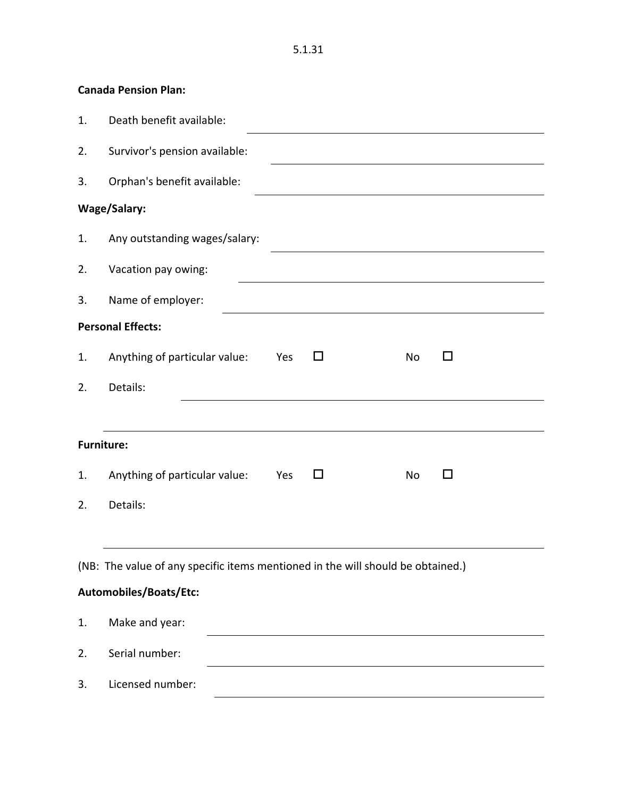5.1.31

| 1. | Death benefit available:                                                        |  |  |  |  |  |
|----|---------------------------------------------------------------------------------|--|--|--|--|--|
| 2. | Survivor's pension available:                                                   |  |  |  |  |  |
| 3. | Orphan's benefit available:                                                     |  |  |  |  |  |
|    | Wage/Salary:                                                                    |  |  |  |  |  |
| 1. | Any outstanding wages/salary:                                                   |  |  |  |  |  |
| 2. | Vacation pay owing:                                                             |  |  |  |  |  |
| 3. | Name of employer:                                                               |  |  |  |  |  |
|    | <b>Personal Effects:</b>                                                        |  |  |  |  |  |
| 1. | Anything of particular value:<br>No<br>Yes<br>ΙI<br>ΙI                          |  |  |  |  |  |
| 2. | Details:                                                                        |  |  |  |  |  |
|    |                                                                                 |  |  |  |  |  |
|    | <b>Furniture:</b>                                                               |  |  |  |  |  |
| 1. | Anything of particular value:<br>Yes<br>No<br>ΙI<br>H                           |  |  |  |  |  |
| 2. | Details:                                                                        |  |  |  |  |  |
|    |                                                                                 |  |  |  |  |  |
|    | (NB: The value of any specific items mentioned in the will should be obtained.) |  |  |  |  |  |
|    | Automobiles/Boats/Etc:                                                          |  |  |  |  |  |
| 1. | Make and year:                                                                  |  |  |  |  |  |
| 2. | Serial number:                                                                  |  |  |  |  |  |
|    |                                                                                 |  |  |  |  |  |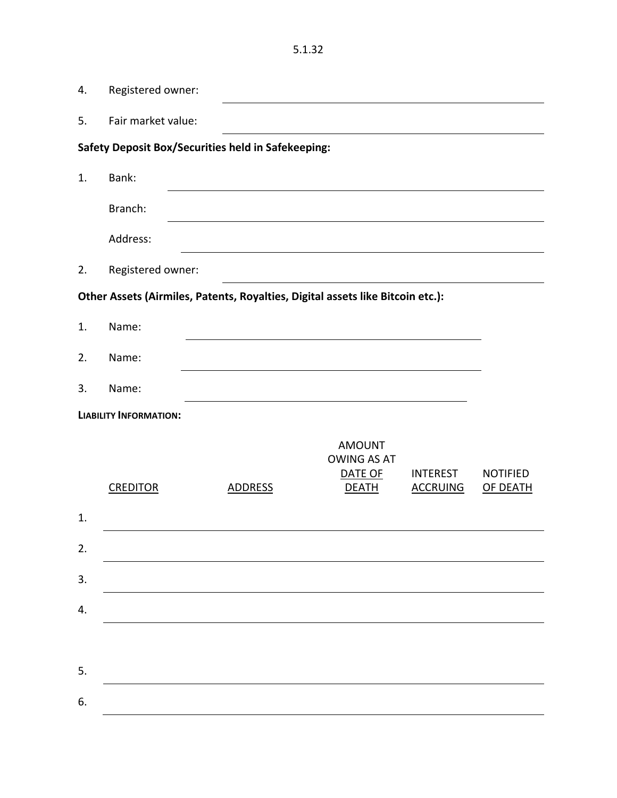| 4. | Registered owner:             |                                                                                |                                                                |                                    |                             |
|----|-------------------------------|--------------------------------------------------------------------------------|----------------------------------------------------------------|------------------------------------|-----------------------------|
| 5. | Fair market value:            |                                                                                |                                                                |                                    |                             |
|    |                               | <b>Safety Deposit Box/Securities held in Safekeeping:</b>                      |                                                                |                                    |                             |
| 1. | Bank:                         |                                                                                |                                                                |                                    |                             |
|    | Branch:                       |                                                                                |                                                                |                                    |                             |
|    | Address:                      |                                                                                |                                                                |                                    |                             |
| 2. | Registered owner:             |                                                                                |                                                                |                                    |                             |
|    |                               | Other Assets (Airmiles, Patents, Royalties, Digital assets like Bitcoin etc.): |                                                                |                                    |                             |
| 1. | Name:                         |                                                                                |                                                                |                                    |                             |
| 2. | Name:                         |                                                                                |                                                                |                                    |                             |
| 3. | Name:                         |                                                                                |                                                                |                                    |                             |
|    | <b>LIABILITY INFORMATION:</b> |                                                                                |                                                                |                                    |                             |
|    | <b>CREDITOR</b>               | <b>ADDRESS</b>                                                                 | <b>AMOUNT</b><br><b>OWING AS AT</b><br>DATE OF<br><b>DEATH</b> | <b>INTEREST</b><br><b>ACCRUING</b> | <b>NOTIFIED</b><br>OF DEATH |
| 1. |                               |                                                                                |                                                                |                                    |                             |
| 2. |                               |                                                                                |                                                                |                                    |                             |
| 3. |                               |                                                                                |                                                                |                                    |                             |
| 4. |                               |                                                                                |                                                                |                                    |                             |
|    |                               |                                                                                |                                                                |                                    |                             |
| 5. |                               |                                                                                |                                                                |                                    |                             |
| 6. |                               |                                                                                |                                                                |                                    |                             |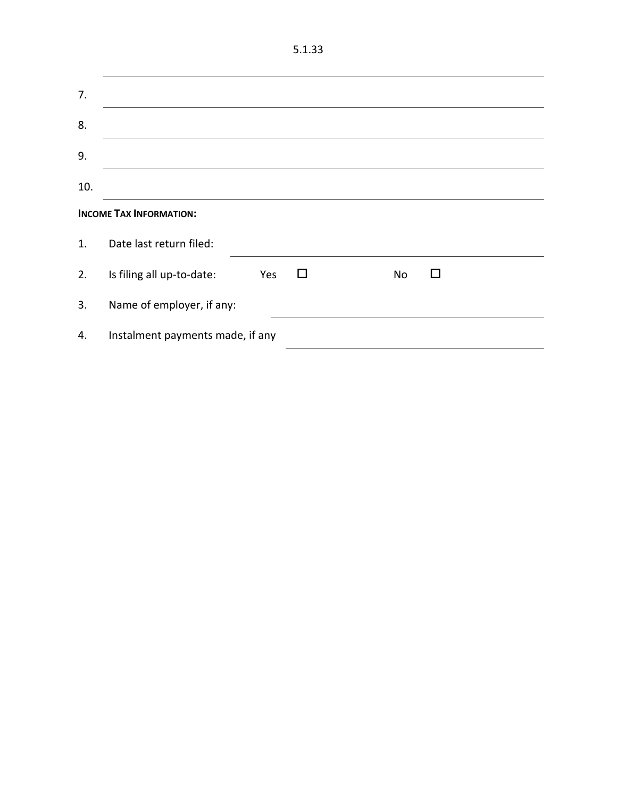| M.<br>۰. | w<br>۰, | ×<br>I |
|----------|---------|--------|
|          |         |        |

| 7.  |                                  |     |     |    |   |  |  |
|-----|----------------------------------|-----|-----|----|---|--|--|
| 8.  |                                  |     |     |    |   |  |  |
| 9.  |                                  |     |     |    |   |  |  |
| 10. |                                  |     |     |    |   |  |  |
|     | <b>INCOME TAX INFORMATION:</b>   |     |     |    |   |  |  |
| 1.  | Date last return filed:          |     |     |    |   |  |  |
| 2.  | Is filing all up-to-date:        | Yes | l l | No | ш |  |  |
| 3.  | Name of employer, if any:        |     |     |    |   |  |  |
| 4.  | Instalment payments made, if any |     |     |    |   |  |  |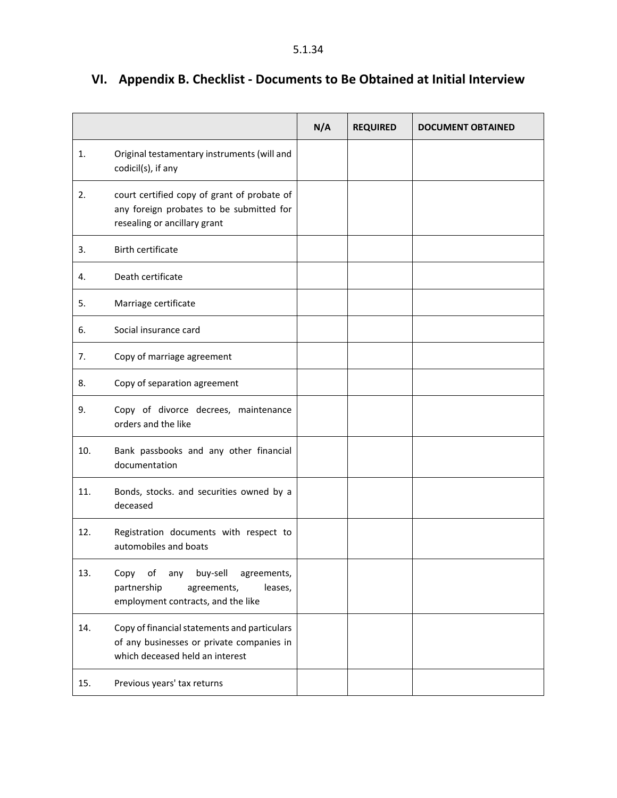|     |                                                                                                                              | N/A | <b>REQUIRED</b> | <b>DOCUMENT OBTAINED</b> |
|-----|------------------------------------------------------------------------------------------------------------------------------|-----|-----------------|--------------------------|
| 1.  | Original testamentary instruments (will and<br>codicil(s), if any                                                            |     |                 |                          |
| 2.  | court certified copy of grant of probate of<br>any foreign probates to be submitted for<br>resealing or ancillary grant      |     |                 |                          |
| 3.  | <b>Birth certificate</b>                                                                                                     |     |                 |                          |
| 4.  | Death certificate                                                                                                            |     |                 |                          |
| 5.  | Marriage certificate                                                                                                         |     |                 |                          |
| 6.  | Social insurance card                                                                                                        |     |                 |                          |
| 7.  | Copy of marriage agreement                                                                                                   |     |                 |                          |
| 8.  | Copy of separation agreement                                                                                                 |     |                 |                          |
| 9.  | Copy of divorce decrees, maintenance<br>orders and the like                                                                  |     |                 |                          |
| 10. | Bank passbooks and any other financial<br>documentation                                                                      |     |                 |                          |
| 11. | Bonds, stocks. and securities owned by a<br>deceased                                                                         |     |                 |                          |
| 12. | Registration documents with respect to<br>automobiles and boats                                                              |     |                 |                          |
| 13. | of<br>buy-sell<br>agreements,<br>Copy<br>any<br>partnership<br>agreements,<br>leases,<br>employment contracts, and the like  |     |                 |                          |
| 14. | Copy of financial statements and particulars<br>of any businesses or private companies in<br>which deceased held an interest |     |                 |                          |
| 15. | Previous years' tax returns                                                                                                  |     |                 |                          |

# <span id="page-34-0"></span>**VI. Appendix B. Checklist - Documents to Be Obtained at Initial Interview**